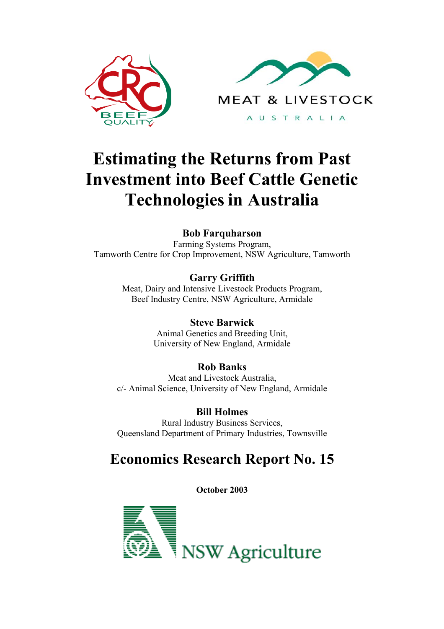

# **Estimating the Returns from Past Investment into Beef Cattle Genetic Technologies in Australia**

**Bob Farquharson** Farming Systems Program, Tamworth Centre for Crop Improvement, NSW Agriculture, Tamworth

> **Garry Griffith** Meat, Dairy and Intensive Livestock Products Program, Beef Industry Centre, NSW Agriculture, Armidale

> > **Steve Barwick** Animal Genetics and Breeding Unit, University of New England, Armidale

# **Rob Banks**

Meat and Livestock Australia, c/- Animal Science, University of New England, Armidale

**Bill Holmes** Rural Industry Business Services, Queensland Department of Primary Industries, Townsville

# **Economics Research Report No. 15**

**October 2003**

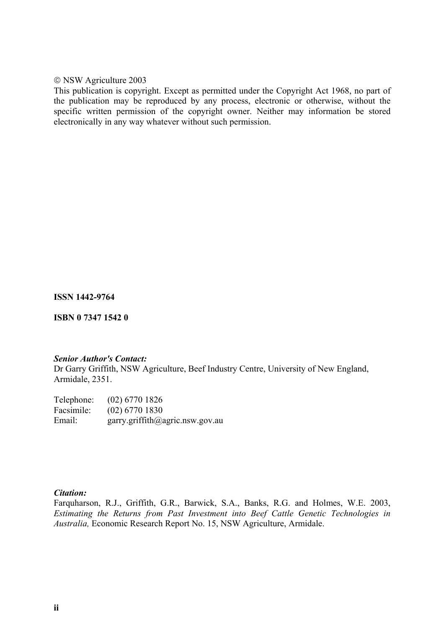NSW Agriculture 2003

This publication is copyright. Except as permitted under the Copyright Act 1968, no part of the publication may be reproduced by any process, electronic or otherwise, without the specific written permission of the copyright owner. Neither may information be stored electronically in any way whatever without such permission.

**ISSN 1442-9764**

**ISBN 0 7347 1542 0**

#### *Senior Author's Contact:*

Dr Garry Griffith, NSW Agriculture, Beef Industry Centre, University of New England, Armidale, 2351.

Telephone: (02) 6770 1826 Facsimile: (02) 6770 1830 Email: garry.griffith@agric.nsw.gov.au

#### *Citation:*

Farquharson, R.J., Griffith, G.R., Barwick, S.A., Banks, R.G. and Holmes, W.E. 2003, *Estimating the Returns from Past Investment into Beef Cattle Genetic Technologies in Australia,* Economic Research Report No. 15, NSW Agriculture, Armidale.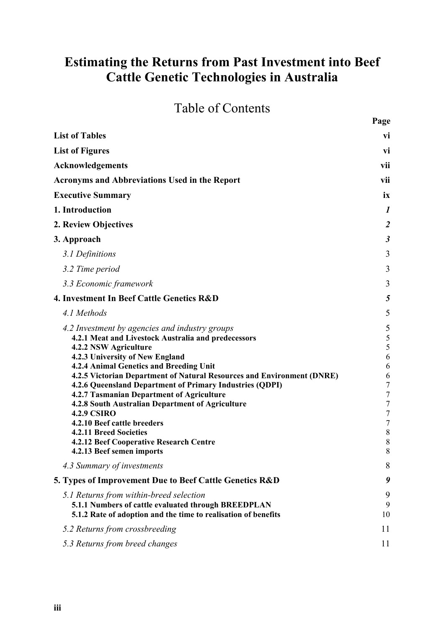# **Estimating the Returns from Past Investment into Beef Cattle Genetic Technologies in Australia**

# Table of Contents

**Page**

| <b>List of Tables</b>                                                                                                                                                                                                                                                                                                                                                                                                                                                                                                                                                                                      | vi                                                                                                                                            |
|------------------------------------------------------------------------------------------------------------------------------------------------------------------------------------------------------------------------------------------------------------------------------------------------------------------------------------------------------------------------------------------------------------------------------------------------------------------------------------------------------------------------------------------------------------------------------------------------------------|-----------------------------------------------------------------------------------------------------------------------------------------------|
| <b>List of Figures</b>                                                                                                                                                                                                                                                                                                                                                                                                                                                                                                                                                                                     | vi                                                                                                                                            |
| Acknowledgements                                                                                                                                                                                                                                                                                                                                                                                                                                                                                                                                                                                           | vii                                                                                                                                           |
| <b>Acronyms and Abbreviations Used in the Report</b>                                                                                                                                                                                                                                                                                                                                                                                                                                                                                                                                                       | vii                                                                                                                                           |
| <b>Executive Summary</b>                                                                                                                                                                                                                                                                                                                                                                                                                                                                                                                                                                                   | ix                                                                                                                                            |
| 1. Introduction                                                                                                                                                                                                                                                                                                                                                                                                                                                                                                                                                                                            | $\boldsymbol{l}$                                                                                                                              |
| 2. Review Objectives                                                                                                                                                                                                                                                                                                                                                                                                                                                                                                                                                                                       | $\overline{2}$                                                                                                                                |
| 3. Approach                                                                                                                                                                                                                                                                                                                                                                                                                                                                                                                                                                                                | $\boldsymbol{\beta}$                                                                                                                          |
| 3.1 Definitions                                                                                                                                                                                                                                                                                                                                                                                                                                                                                                                                                                                            | 3                                                                                                                                             |
| 3.2 Time period                                                                                                                                                                                                                                                                                                                                                                                                                                                                                                                                                                                            | 3                                                                                                                                             |
| 3.3 Economic framework                                                                                                                                                                                                                                                                                                                                                                                                                                                                                                                                                                                     | 3                                                                                                                                             |
| 4. Investment In Beef Cattle Genetics R&D                                                                                                                                                                                                                                                                                                                                                                                                                                                                                                                                                                  | 5                                                                                                                                             |
| 4.1 Methods                                                                                                                                                                                                                                                                                                                                                                                                                                                                                                                                                                                                | 5                                                                                                                                             |
| 4.2 Investment by agencies and industry groups<br>4.2.1 Meat and Livestock Australia and predecessors<br>4.2.2 NSW Agriculture<br>4.2.3 University of New England<br>4.2.4 Animal Genetics and Breeding Unit<br>4.2.5 Victorian Department of Natural Resources and Environment (DNRE)<br>4.2.6 Queensland Department of Primary Industries (QDPI)<br>4.2.7 Tasmanian Department of Agriculture<br>4.2.8 South Australian Department of Agriculture<br><b>4.2.9 CSIRO</b><br>4.2.10 Beef cattle breeders<br>4.2.11 Breed Societies<br>4.2.12 Beef Cooperative Research Centre<br>4.2.13 Beef semen imports | 5<br>5<br>5<br>6<br>6<br>6<br>$\boldsymbol{7}$<br>$\boldsymbol{7}$<br>$\boldsymbol{7}$<br>$\boldsymbol{7}$<br>$\boldsymbol{7}$<br>8<br>8<br>8 |
| 4.3 Summary of investments                                                                                                                                                                                                                                                                                                                                                                                                                                                                                                                                                                                 | 8                                                                                                                                             |
| 5. Types of Improvement Due to Beef Cattle Genetics R&D                                                                                                                                                                                                                                                                                                                                                                                                                                                                                                                                                    | 9                                                                                                                                             |
| 5.1 Returns from within-breed selection<br>5.1.1 Numbers of cattle evaluated through BREEDPLAN<br>5.1.2 Rate of adoption and the time to realisation of benefits                                                                                                                                                                                                                                                                                                                                                                                                                                           | 9<br>9<br>10                                                                                                                                  |
| 5.2 Returns from crossbreeding                                                                                                                                                                                                                                                                                                                                                                                                                                                                                                                                                                             | 11                                                                                                                                            |
| 5.3 Returns from breed changes                                                                                                                                                                                                                                                                                                                                                                                                                                                                                                                                                                             | 11                                                                                                                                            |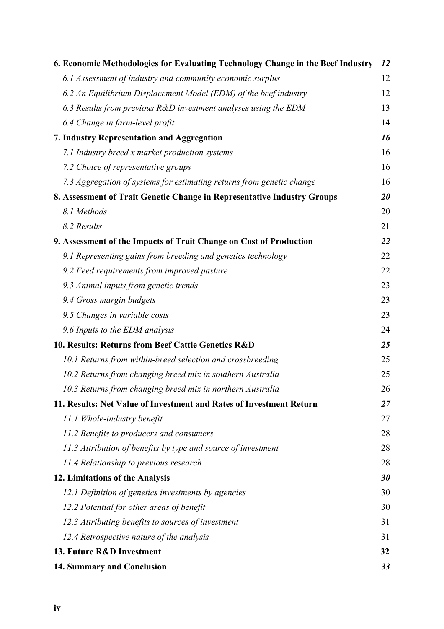| 6. Economic Methodologies for Evaluating Technology Change in the Beef Industry | 12        |
|---------------------------------------------------------------------------------|-----------|
| 6.1 Assessment of industry and community economic surplus                       | 12        |
| 6.2 An Equilibrium Displacement Model (EDM) of the beef industry                | 12        |
| 6.3 Results from previous $R&D$ investment analyses using the EDM               | 13        |
| 6.4 Change in farm-level profit                                                 | 14        |
| 7. Industry Representation and Aggregation                                      | 16        |
| 7.1 Industry breed x market production systems                                  | 16        |
| 7.2 Choice of representative groups                                             | 16        |
| 7.3 Aggregation of systems for estimating returns from genetic change           | 16        |
| 8. Assessment of Trait Genetic Change in Representative Industry Groups         | <b>20</b> |
| 8.1 Methods                                                                     | 20        |
| 8.2 Results                                                                     | 21        |
| 9. Assessment of the Impacts of Trait Change on Cost of Production              | 22        |
| 9.1 Representing gains from breeding and genetics technology                    | 22        |
| 9.2 Feed requirements from improved pasture                                     | 22        |
| 9.3 Animal inputs from genetic trends                                           | 23        |
| 9.4 Gross margin budgets                                                        | 23        |
| 9.5 Changes in variable costs                                                   | 23        |
| 9.6 Inputs to the EDM analysis                                                  | 24        |
| 10. Results: Returns from Beef Cattle Genetics R&D                              | 25        |
| 10.1 Returns from within-breed selection and crossbreeding                      | 25        |
| 10.2 Returns from changing breed mix in southern Australia                      | 25        |
| 10.3 Returns from changing breed mix in northern Australia                      | 26        |
| 11. Results: Net Value of Investment and Rates of Investment Return             | 27        |
| 11.1 Whole-industry benefit                                                     | 27        |
| 11.2 Benefits to producers and consumers                                        | 28        |
| 11.3 Attribution of benefits by type and source of investment                   | 28        |
| 11.4 Relationship to previous research                                          | 28        |
| 12. Limitations of the Analysis                                                 | 30        |
| 12.1 Definition of genetics investments by agencies                             | 30        |
| 12.2 Potential for other areas of benefit                                       | 30        |
| 12.3 Attributing benefits to sources of investment                              | 31        |
| 12.4 Retrospective nature of the analysis                                       | 31        |
| 13. Future R&D Investment                                                       | 32        |
| 14. Summary and Conclusion                                                      | 33        |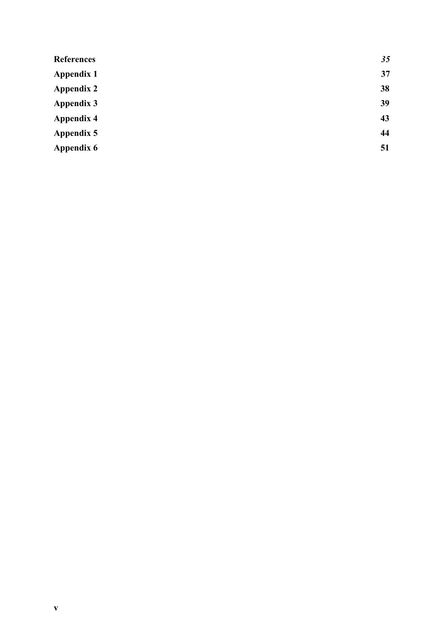| 35 |
|----|
| 37 |
| 38 |
| 39 |
| 43 |
| 44 |
| 51 |
|    |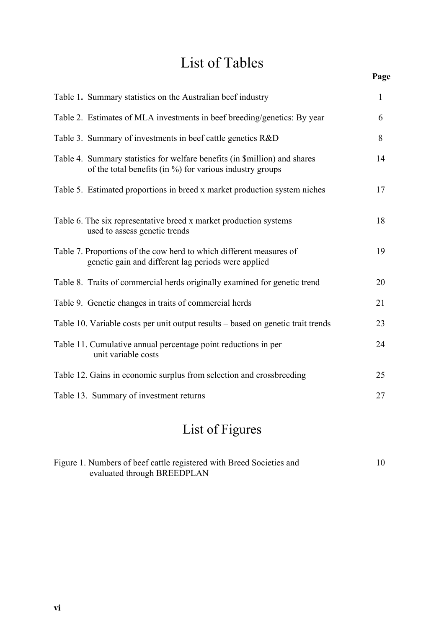# List of Tables

### **Page**

| Table 1. Summary statistics on the Australian beef industry                                                                                | $\mathbf{1}$ |
|--------------------------------------------------------------------------------------------------------------------------------------------|--------------|
| Table 2. Estimates of MLA investments in beef breeding/genetics: By year                                                                   | 6            |
| Table 3. Summary of investments in beef cattle genetics R&D                                                                                | 8            |
| Table 4. Summary statistics for welfare benefits (in \$million) and shares<br>of the total benefits (in $\%$ ) for various industry groups | 14           |
| Table 5. Estimated proportions in breed x market production system niches                                                                  | 17           |
| Table 6. The six representative breed x market production systems<br>used to assess genetic trends                                         | 18           |
| Table 7. Proportions of the cow herd to which different measures of<br>genetic gain and different lag periods were applied                 | 19           |
| Table 8. Traits of commercial herds originally examined for genetic trend                                                                  | 20           |
| Table 9. Genetic changes in traits of commercial herds                                                                                     | 21           |
| Table 10. Variable costs per unit output results – based on genetic trait trends                                                           | 23           |
| Table 11. Cumulative annual percentage point reductions in per<br>unit variable costs                                                      | 24           |
| Table 12. Gains in economic surplus from selection and crossbreeding                                                                       | 25           |
| Table 13. Summary of investment returns                                                                                                    | 27           |

# List of Figures

| Figure 1. Numbers of beef cattle registered with Breed Societies and | 10 |
|----------------------------------------------------------------------|----|
| evaluated through BREEDPLAN                                          |    |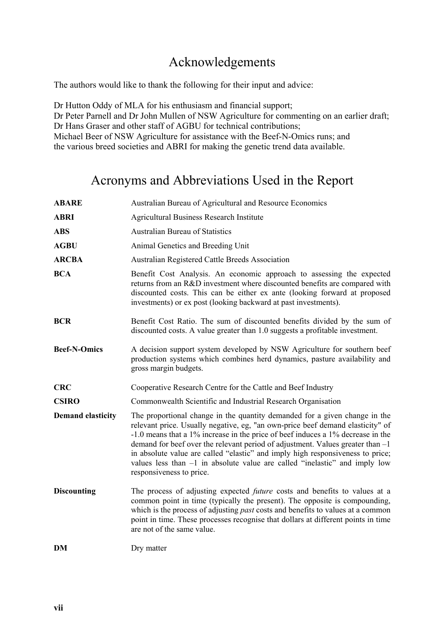### Acknowledgements

The authors would like to thank the following for their input and advice:

Dr Hutton Oddy of MLA for his enthusiasm and financial support; Dr Peter Parnell and Dr John Mullen of NSW Agriculture for commenting on an earlier draft; Dr Hans Graser and other staff of AGBU for technical contributions; Michael Beer of NSW Agriculture for assistance with the Beef-N-Omics runs; and the various breed societies and ABRI for making the genetic trend data available.

### Acronyms and Abbreviations Used in the Report

| <b>ABARE</b>             | Australian Bureau of Agricultural and Resource Economics                                                                                                                                                                                                                                                                                                                                                                                                                                                                        |
|--------------------------|---------------------------------------------------------------------------------------------------------------------------------------------------------------------------------------------------------------------------------------------------------------------------------------------------------------------------------------------------------------------------------------------------------------------------------------------------------------------------------------------------------------------------------|
| <b>ABRI</b>              | <b>Agricultural Business Research Institute</b>                                                                                                                                                                                                                                                                                                                                                                                                                                                                                 |
| <b>ABS</b>               | <b>Australian Bureau of Statistics</b>                                                                                                                                                                                                                                                                                                                                                                                                                                                                                          |
| <b>AGBU</b>              | Animal Genetics and Breeding Unit                                                                                                                                                                                                                                                                                                                                                                                                                                                                                               |
| <b>ARCBA</b>             | Australian Registered Cattle Breeds Association                                                                                                                                                                                                                                                                                                                                                                                                                                                                                 |
| <b>BCA</b>               | Benefit Cost Analysis. An economic approach to assessing the expected<br>returns from an R&D investment where discounted benefits are compared with<br>discounted costs. This can be either ex ante (looking forward at proposed<br>investments) or ex post (looking backward at past investments).                                                                                                                                                                                                                             |
| <b>BCR</b>               | Benefit Cost Ratio. The sum of discounted benefits divided by the sum of<br>discounted costs. A value greater than 1.0 suggests a profitable investment.                                                                                                                                                                                                                                                                                                                                                                        |
| <b>Beef-N-Omics</b>      | A decision support system developed by NSW Agriculture for southern beef<br>production systems which combines herd dynamics, pasture availability and<br>gross margin budgets.                                                                                                                                                                                                                                                                                                                                                  |
| <b>CRC</b>               | Cooperative Research Centre for the Cattle and Beef Industry                                                                                                                                                                                                                                                                                                                                                                                                                                                                    |
| <b>CSIRO</b>             | Commonwealth Scientific and Industrial Research Organisation                                                                                                                                                                                                                                                                                                                                                                                                                                                                    |
| <b>Demand elasticity</b> | The proportional change in the quantity demanded for a given change in the<br>relevant price. Usually negative, eg, "an own-price beef demand elasticity" of<br>-1.0 means that a 1% increase in the price of beef induces a 1% decrease in the<br>demand for beef over the relevant period of adjustment. Values greater than -1<br>in absolute value are called "elastic" and imply high responsiveness to price;<br>values less than $-1$ in absolute value are called "inelastic" and imply low<br>responsiveness to price. |
| <b>Discounting</b>       | The process of adjusting expected <i>future</i> costs and benefits to values at a<br>common point in time (typically the present). The opposite is compounding,<br>which is the process of adjusting <i>past</i> costs and benefits to values at a common<br>point in time. These processes recognise that dollars at different points in time<br>are not of the same value.                                                                                                                                                    |
| DM                       | Dry matter                                                                                                                                                                                                                                                                                                                                                                                                                                                                                                                      |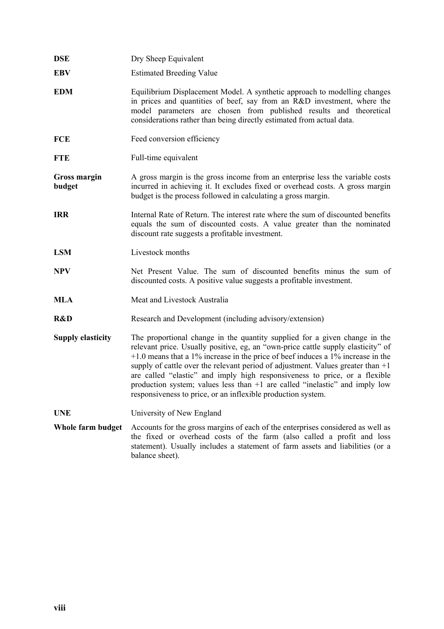| <b>DSE</b>                    | Dry Sheep Equivalent                                                                                                                                                                                                                                                                                                                                                                                                                                                                                                                                                  |
|-------------------------------|-----------------------------------------------------------------------------------------------------------------------------------------------------------------------------------------------------------------------------------------------------------------------------------------------------------------------------------------------------------------------------------------------------------------------------------------------------------------------------------------------------------------------------------------------------------------------|
| <b>EBV</b>                    | <b>Estimated Breeding Value</b>                                                                                                                                                                                                                                                                                                                                                                                                                                                                                                                                       |
| <b>EDM</b>                    | Equilibrium Displacement Model. A synthetic approach to modelling changes<br>in prices and quantities of beef, say from an R&D investment, where the<br>model parameters are chosen from published results and theoretical<br>considerations rather than being directly estimated from actual data.                                                                                                                                                                                                                                                                   |
| <b>FCE</b>                    | Feed conversion efficiency                                                                                                                                                                                                                                                                                                                                                                                                                                                                                                                                            |
| <b>FTE</b>                    | Full-time equivalent                                                                                                                                                                                                                                                                                                                                                                                                                                                                                                                                                  |
| <b>Gross margin</b><br>budget | A gross margin is the gross income from an enterprise less the variable costs<br>incurred in achieving it. It excludes fixed or overhead costs. A gross margin<br>budget is the process followed in calculating a gross margin.                                                                                                                                                                                                                                                                                                                                       |
| <b>IRR</b>                    | Internal Rate of Return. The interest rate where the sum of discounted benefits<br>equals the sum of discounted costs. A value greater than the nominated<br>discount rate suggests a profitable investment.                                                                                                                                                                                                                                                                                                                                                          |
| <b>LSM</b>                    | Livestock months                                                                                                                                                                                                                                                                                                                                                                                                                                                                                                                                                      |
| <b>NPV</b>                    | Net Present Value. The sum of discounted benefits minus the sum of<br>discounted costs. A positive value suggests a profitable investment.                                                                                                                                                                                                                                                                                                                                                                                                                            |
| MLA                           | Meat and Livestock Australia                                                                                                                                                                                                                                                                                                                                                                                                                                                                                                                                          |
| R&D                           | Research and Development (including advisory/extension)                                                                                                                                                                                                                                                                                                                                                                                                                                                                                                               |
| <b>Supply elasticity</b>      | The proportional change in the quantity supplied for a given change in the<br>relevant price. Usually positive, eg, an "own-price cattle supply elasticity" of<br>$+1.0$ means that a 1% increase in the price of beef induces a 1% increase in the<br>supply of cattle over the relevant period of adjustment. Values greater than $+1$<br>are called "elastic" and imply high responsiveness to price, or a flexible<br>production system; values less than +1 are called "inelastic" and imply low<br>responsiveness to price, or an inflexible production system. |
| <b>UNE</b>                    | University of New England                                                                                                                                                                                                                                                                                                                                                                                                                                                                                                                                             |
| Whole farm budget             | Accounts for the gross margins of each of the enterprises considered as well as<br>the fixed or overhead costs of the farm (also called a profit and loss<br>statement). Usually includes a statement of farm assets and liabilities (or a<br>balance sheet).                                                                                                                                                                                                                                                                                                         |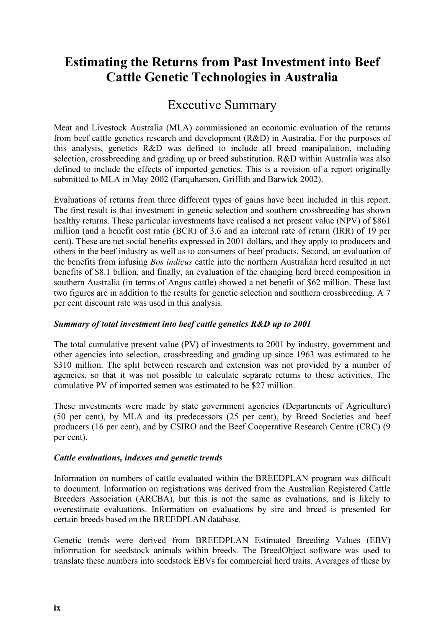## **Estimating the Returns from Past Investment into Beef Cattle Genetic Technologies in Australia**

### Executive Summary

Meat and Livestock Australia (MLA) commissioned an economic evaluation of the returns from beef cattle genetics research and development (R&D) in Australia. For the purposes of this analysis, genetics R&D was defined to include all breed manipulation, including selection, crossbreeding and grading up or breed substitution. R&D within Australia was also defined to include the effects of imported genetics. This is a revision of a report originally submitted to MLA in May 2002 (Farquharson, Griffith and Barwick 2002).

Evaluations of returns from three different types of gains have been included in this report. The first result is that investment in genetic selection and southern crossbreeding has shown healthy returns. These particular investments have realised a net present value (NPV) of \$861 million (and a benefit cost ratio (BCR) of 3.6 and an internal rate of return (IRR) of 19 per cent). These are net social benefits expressed in 2001 dollars, and they apply to producers and others in the beef industry as well as to consumers of beef products. Second, an evaluation of the benefits from infusing *Bos indicus* cattle into the northern Australian herd resulted in net benefits of \$8.1 billion, and finally, an evaluation of the changing herd breed composition in southern Australia (in terms of Angus cattle) showed a net benefit of \$62 million. These last two figures are in addition to the results for genetic selection and southern crossbreeding. A 7 per cent discount rate was used in this analysis.

#### *Summary of total investment into beef cattle genetics R&D up to 2001*

The total cumulative present value (PV) of investments to 2001 by industry, government and other agencies into selection, crossbreeding and grading up since 1963 was estimated to be \$310 million. The split between research and extension was not provided by a number of agencies, so that it was not possible to calculate separate returns to these activities. The cumulative PV of imported semen was estimated to be \$27 million.

These investments were made by state government agencies (Departments of Agriculture) (50 per cent), by MLA and its predecessors (25 per cent), by Breed Societies and beef producers (16 per cent), and by CSIRO and the Beef Cooperative Research Centre (CRC) (9 per cent).

#### *Cattle evaluations, indexes and genetic trends*

Information on numbers of cattle evaluated within the BREEDPLAN program was difficult to document. Information on registrations was derived from the Australian Registered Cattle Breeders Association (ARCBA), but this is not the same as evaluations, and is likely to overestimate evaluations. Information on evaluations by sire and breed is presented for certain breeds based on the BREEDPLAN database.

Genetic trends were derived from BREEDPLAN Estimated Breeding Values (EBV) information for seedstock animals within breeds. The BreedObject software was used to translate these numbers into seedstock EBVs for commercial herd traits. Averages of these by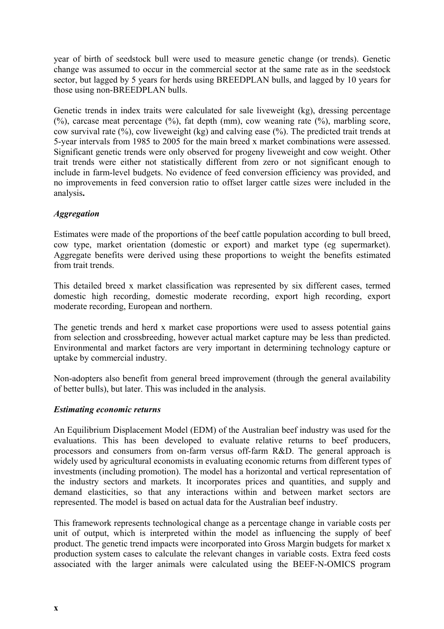year of birth of seedstock bull were used to measure genetic change (or trends). Genetic change was assumed to occur in the commercial sector at the same rate as in the seedstock sector, but lagged by 5 years for herds using BREEDPLAN bulls, and lagged by 10 years for those using non-BREEDPLAN bulls.

Genetic trends in index traits were calculated for sale liveweight (kg), dressing percentage  $(%)$ , carcase meat percentage  $(%)$ , fat depth (mm), cow weaning rate  $(%)$ , marbling score, cow survival rate (%), cow liveweight (kg) and calving ease (%). The predicted trait trends at 5-year intervals from 1985 to 2005 for the main breed x market combinations were assessed. Significant genetic trends were only observed for progeny liveweight and cow weight. Other trait trends were either not statistically different from zero or not significant enough to include in farm-level budgets. No evidence of feed conversion efficiency was provided, and no improvements in feed conversion ratio to offset larger cattle sizes were included in the analysis**.**

#### *Aggregation*

Estimates were made of the proportions of the beef cattle population according to bull breed, cow type, market orientation (domestic or export) and market type (eg supermarket). Aggregate benefits were derived using these proportions to weight the benefits estimated from trait trends.

This detailed breed x market classification was represented by six different cases, termed domestic high recording, domestic moderate recording, export high recording, export moderate recording, European and northern.

The genetic trends and herd x market case proportions were used to assess potential gains from selection and crossbreeding, however actual market capture may be less than predicted. Environmental and market factors are very important in determining technology capture or uptake by commercial industry.

Non-adopters also benefit from general breed improvement (through the general availability of better bulls), but later. This was included in the analysis.

#### *Estimating economic returns*

An Equilibrium Displacement Model (EDM) of the Australian beef industry was used for the evaluations. This has been developed to evaluate relative returns to beef producers, processors and consumers from on-farm versus off-farm R&D. The general approach is widely used by agricultural economists in evaluating economic returns from different types of investments (including promotion). The model has a horizontal and vertical representation of the industry sectors and markets. It incorporates prices and quantities, and supply and demand elasticities, so that any interactions within and between market sectors are represented. The model is based on actual data for the Australian beef industry.

This framework represents technological change as a percentage change in variable costs per unit of output, which is interpreted within the model as influencing the supply of beef product. The genetic trend impacts were incorporated into Gross Margin budgets for market x production system cases to calculate the relevant changes in variable costs. Extra feed costs associated with the larger animals were calculated using the BEEF-N-OMICS program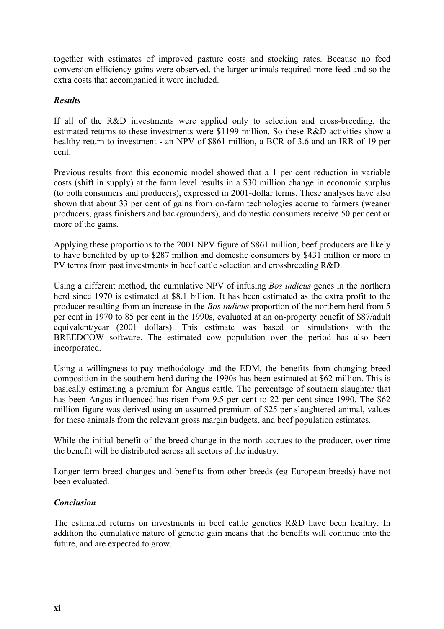together with estimates of improved pasture costs and stocking rates. Because no feed conversion efficiency gains were observed, the larger animals required more feed and so the extra costs that accompanied it were included.

#### *Results*

If all of the R&D investments were applied only to selection and cross-breeding, the estimated returns to these investments were \$1199 million. So these R&D activities show a healthy return to investment - an NPV of \$861 million, a BCR of 3.6 and an IRR of 19 per cent.

Previous results from this economic model showed that a 1 per cent reduction in variable costs (shift in supply) at the farm level results in a \$30 million change in economic surplus (to both consumers and producers), expressed in 2001-dollar terms. These analyses have also shown that about 33 per cent of gains from on-farm technologies accrue to farmers (weaner producers, grass finishers and backgrounders), and domestic consumers receive 50 per cent or more of the gains.

Applying these proportions to the 2001 NPV figure of \$861 million, beef producers are likely to have benefited by up to \$287 million and domestic consumers by \$431 million or more in PV terms from past investments in beef cattle selection and crossbreeding R&D.

Using a different method, the cumulative NPV of infusing *Bos indicus* genes in the northern herd since 1970 is estimated at \$8.1 billion. It has been estimated as the extra profit to the producer resulting from an increase in the *Bos indicus* proportion of the northern herd from 5 per cent in 1970 to 85 per cent in the 1990s, evaluated at an on-property benefit of \$87/adult equivalent/year (2001 dollars). This estimate was based on simulations with the BREEDCOW software. The estimated cow population over the period has also been incorporated.

Using a willingness-to-pay methodology and the EDM, the benefits from changing breed composition in the southern herd during the 1990s has been estimated at \$62 million. This is basically estimating a premium for Angus cattle. The percentage of southern slaughter that has been Angus-influenced has risen from 9.5 per cent to 22 per cent since 1990. The \$62 million figure was derived using an assumed premium of \$25 per slaughtered animal, values for these animals from the relevant gross margin budgets, and beef population estimates.

While the initial benefit of the breed change in the north accrues to the producer, over time the benefit will be distributed across all sectors of the industry.

Longer term breed changes and benefits from other breeds (eg European breeds) have not been evaluated.

#### *Conclusion*

The estimated returns on investments in beef cattle genetics R&D have been healthy. In addition the cumulative nature of genetic gain means that the benefits will continue into the future, and are expected to grow.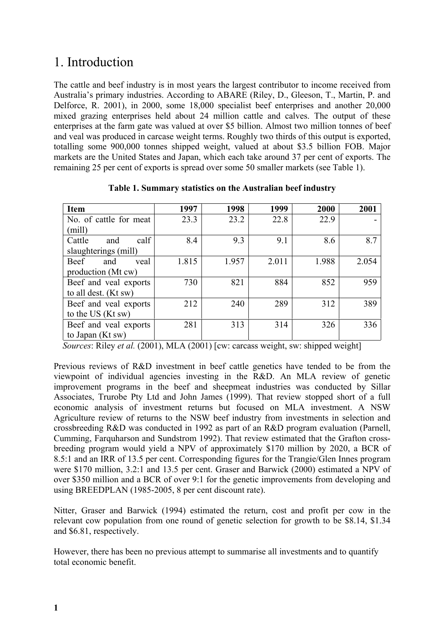### 1. Introduction

The cattle and beef industry is in most years the largest contributor to income received from Australia's primary industries. According to ABARE (Riley, D., Gleeson, T., Martin, P. and Delforce, R. 2001), in 2000, some 18,000 specialist beef enterprises and another 20,000 mixed grazing enterprises held about 24 million cattle and calves. The output of these enterprises at the farm gate was valued at over \$5 billion. Almost two million tonnes of beef and veal was produced in carcase weight terms. Roughly two thirds of this output is exported, totalling some 900,000 tonnes shipped weight, valued at about \$3.5 billion FOB. Major markets are the United States and Japan, which each take around 37 per cent of exports. The remaining 25 per cent of exports is spread over some 50 smaller markets (see Table 1).

| <b>Item</b>            | 1997  | 1998  | 1999  | 2000  | 2001  |
|------------------------|-------|-------|-------|-------|-------|
| No. of cattle for meat | 23.3  | 23.2  | 22.8  | 22.9  |       |
| (mill)                 |       |       |       |       |       |
| calf<br>Cattle<br>and  | 8.4   | 9.3   | 9.1   | 8.6   | 8.7   |
| slaughterings (mill)   |       |       |       |       |       |
| Beef<br>veal<br>and    | 1.815 | 1.957 | 2.011 | 1.988 | 2.054 |
| production (Mt cw)     |       |       |       |       |       |
| Beef and veal exports  | 730   | 821   | 884   | 852   | 959   |
| to all dest. (Kt sw)   |       |       |       |       |       |
| Beef and veal exports  | 212   | 240   | 289   | 312   | 389   |
| to the US (Kt sw)      |       |       |       |       |       |
| Beef and veal exports  | 281   | 313   | 314   | 326   | 336   |
| to Japan (Kt sw)       |       |       |       |       |       |

**Table 1. Summary statistics on the Australian beef industry**

*Sources*: Riley *et al.* (2001), MLA (2001) [cw: carcass weight, sw: shipped weight]

Previous reviews of R&D investment in beef cattle genetics have tended to be from the viewpoint of individual agencies investing in the R&D. An MLA review of genetic improvement programs in the beef and sheepmeat industries was conducted by Sillar Associates, Trurobe Pty Ltd and John James (1999). That review stopped short of a full economic analysis of investment returns but focused on MLA investment. A NSW Agriculture review of returns to the NSW beef industry from investments in selection and crossbreeding R&D was conducted in 1992 as part of an R&D program evaluation (Parnell, Cumming, Farquharson and Sundstrom 1992). That review estimated that the Grafton crossbreeding program would yield a NPV of approximately \$170 million by 2020, a BCR of 8.5:1 and an IRR of 13.5 per cent. Corresponding figures for the Trangie/Glen Innes program were \$170 million, 3.2:1 and 13.5 per cent. Graser and Barwick (2000) estimated a NPV of over \$350 million and a BCR of over 9:1 for the genetic improvements from developing and using BREEDPLAN (1985-2005, 8 per cent discount rate).

Nitter, Graser and Barwick (1994) estimated the return, cost and profit per cow in the relevant cow population from one round of genetic selection for growth to be \$8.14, \$1.34 and \$6.81, respectively.

However, there has been no previous attempt to summarise all investments and to quantify total economic benefit.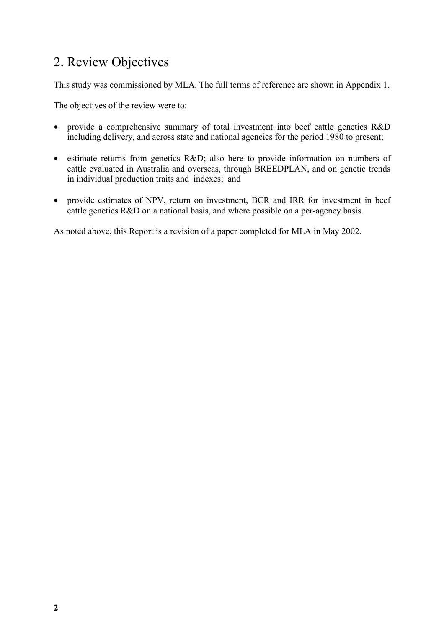# 2. Review Objectives

This study was commissioned by MLA. The full terms of reference are shown in Appendix 1.

The objectives of the review were to:

- provide a comprehensive summary of total investment into beef cattle genetics R&D including delivery, and across state and national agencies for the period 1980 to present;
- estimate returns from genetics R&D; also here to provide information on numbers of cattle evaluated in Australia and overseas, through BREEDPLAN, and on genetic trends in individual production traits and indexes; and
- provide estimates of NPV, return on investment, BCR and IRR for investment in beef cattle genetics R&D on a national basis, and where possible on a per-agency basis.

As noted above, this Report is a revision of a paper completed for MLA in May 2002.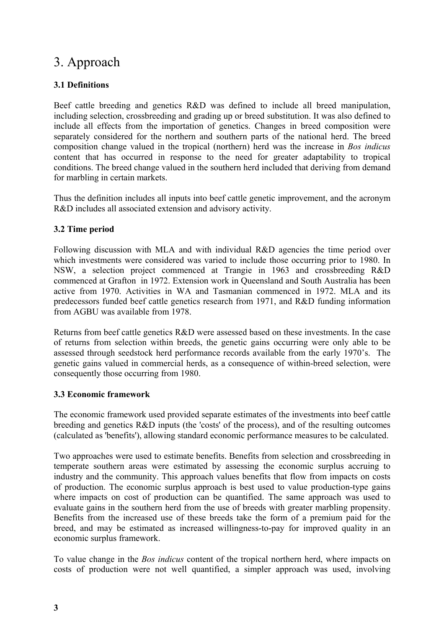## 3. Approach

#### **3.1 Definitions**

Beef cattle breeding and genetics R&D was defined to include all breed manipulation, including selection, crossbreeding and grading up or breed substitution. It was also defined to include all effects from the importation of genetics. Changes in breed composition were separately considered for the northern and southern parts of the national herd. The breed composition change valued in the tropical (northern) herd was the increase in *Bos indicus* content that has occurred in response to the need for greater adaptability to tropical conditions. The breed change valued in the southern herd included that deriving from demand for marbling in certain markets.

Thus the definition includes all inputs into beef cattle genetic improvement, and the acronym R&D includes all associated extension and advisory activity.

#### **3.2 Time period**

Following discussion with MLA and with individual R&D agencies the time period over which investments were considered was varied to include those occurring prior to 1980. In NSW, a selection project commenced at Trangie in 1963 and crossbreeding R&D commenced at Grafton in 1972. Extension work in Queensland and South Australia has been active from 1970. Activities in WA and Tasmanian commenced in 1972. MLA and its predecessors funded beef cattle genetics research from 1971, and R&D funding information from AGBU was available from 1978.

Returns from beef cattle genetics R&D were assessed based on these investments. In the case of returns from selection within breeds, the genetic gains occurring were only able to be assessed through seedstock herd performance records available from the early 1970's. The genetic gains valued in commercial herds, as a consequence of within-breed selection, were consequently those occurring from 1980.

#### **3.3 Economic framework**

The economic framework used provided separate estimates of the investments into beef cattle breeding and genetics R&D inputs (the 'costs' of the process), and of the resulting outcomes (calculated as 'benefits'), allowing standard economic performance measures to be calculated.

Two approaches were used to estimate benefits. Benefits from selection and crossbreeding in temperate southern areas were estimated by assessing the economic surplus accruing to industry and the community. This approach values benefits that flow from impacts on costs of production. The economic surplus approach is best used to value production-type gains where impacts on cost of production can be quantified. The same approach was used to evaluate gains in the southern herd from the use of breeds with greater marbling propensity. Benefits from the increased use of these breeds take the form of a premium paid for the breed, and may be estimated as increased willingness-to-pay for improved quality in an economic surplus framework.

To value change in the *Bos indicus* content of the tropical northern herd, where impacts on costs of production were not well quantified, a simpler approach was used, involving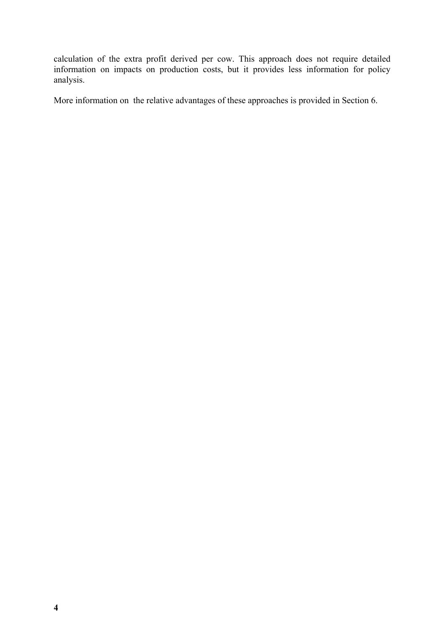calculation of the extra profit derived per cow. This approach does not require detailed information on impacts on production costs, but it provides less information for policy analysis.

More information on the relative advantages of these approaches is provided in Section 6.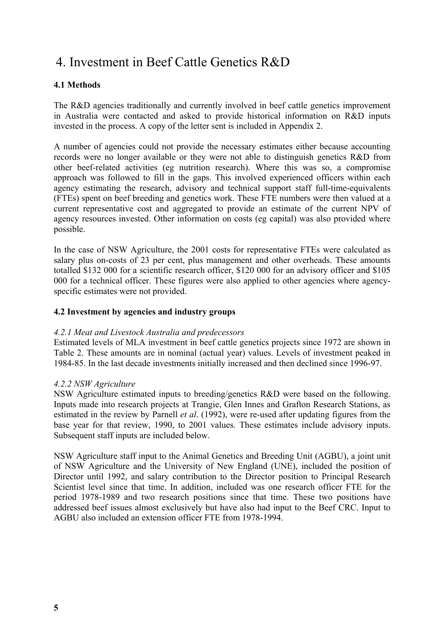## 4. Investment in Beef Cattle Genetics R&D

#### **4.1 Methods**

The R&D agencies traditionally and currently involved in beef cattle genetics improvement in Australia were contacted and asked to provide historical information on R&D inputs invested in the process. A copy of the letter sent is included in Appendix 2.

A number of agencies could not provide the necessary estimates either because accounting records were no longer available or they were not able to distinguish genetics R&D from other beef-related activities (eg nutrition research). Where this was so, a compromise approach was followed to fill in the gaps. This involved experienced officers within each agency estimating the research, advisory and technical support staff full-time-equivalents (FTEs) spent on beef breeding and genetics work. These FTE numbers were then valued at a current representative cost and aggregated to provide an estimate of the current NPV of agency resources invested. Other information on costs (eg capital) was also provided where possible.

In the case of NSW Agriculture, the 2001 costs for representative FTEs were calculated as salary plus on-costs of 23 per cent, plus management and other overheads. These amounts totalled \$132 000 for a scientific research officer, \$120 000 for an advisory officer and \$105 000 for a technical officer. These figures were also applied to other agencies where agencyspecific estimates were not provided.

#### **4.2 Investment by agencies and industry groups**

#### *4.2.1 Meat and Livestock Australia and predecessors*

Estimated levels of MLA investment in beef cattle genetics projects since 1972 are shown in Table 2. These amounts are in nominal (actual year) values. Levels of investment peaked in 1984-85. In the last decade investments initially increased and then declined since 1996-97.

#### *4.2.2 NSW Agriculture*

NSW Agriculture estimated inputs to breeding/genetics R&D were based on the following. Inputs made into research projects at Trangie, Glen Innes and Grafton Research Stations, as estimated in the review by Parnell *et al*. (1992), were re-used after updating figures from the base year for that review, 1990, to 2001 values. These estimates include advisory inputs. Subsequent staff inputs are included below.

NSW Agriculture staff input to the Animal Genetics and Breeding Unit (AGBU), a joint unit of NSW Agriculture and the University of New England (UNE), included the position of Director until 1992, and salary contribution to the Director position to Principal Research Scientist level since that time. In addition, included was one research officer FTE for the period 1978-1989 and two research positions since that time. These two positions have addressed beef issues almost exclusively but have also had input to the Beef CRC. Input to AGBU also included an extension officer FTE from 1978-1994.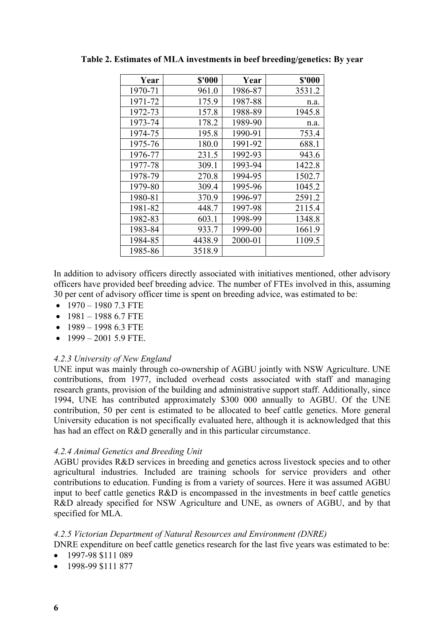| Year    | \$'000 | Year    | \$'000 |
|---------|--------|---------|--------|
| 1970-71 | 961.0  | 1986-87 | 3531.2 |
| 1971-72 | 175.9  | 1987-88 | n.a.   |
| 1972-73 | 157.8  | 1988-89 | 1945.8 |
| 1973-74 | 178.2  | 1989-90 | n.a.   |
| 1974-75 | 195.8  | 1990-91 | 753.4  |
| 1975-76 | 180.0  | 1991-92 | 688.1  |
| 1976-77 | 231.5  | 1992-93 | 943.6  |
| 1977-78 | 309.1  | 1993-94 | 1422.8 |
| 1978-79 | 270.8  | 1994-95 | 1502.7 |
| 1979-80 | 309.4  | 1995-96 | 1045.2 |
| 1980-81 | 370.9  | 1996-97 | 2591.2 |
| 1981-82 | 448.7  | 1997-98 | 2115.4 |
| 1982-83 | 603.1  | 1998-99 | 1348.8 |
| 1983-84 | 933.7  | 1999-00 | 1661.9 |
| 1984-85 | 4438.9 | 2000-01 | 1109.5 |
| 1985-86 | 3518.9 |         |        |

**Table 2. Estimates of MLA investments in beef breeding/genetics: By year**

In addition to advisory officers directly associated with initiatives mentioned, other advisory officers have provided beef breeding advice. The number of FTEs involved in this, assuming 30 per cent of advisory officer time is spent on breeding advice, was estimated to be:

- $\bullet$  1970 1980 7.3 FTE
- $1981 19886.7$  FTE
- $1989 199863$  FTE
- $1999 2001$  5.9 FTE.

#### *4.2.3 University of New England*

UNE input was mainly through co-ownership of AGBU jointly with NSW Agriculture. UNE contributions, from 1977, included overhead costs associated with staff and managing research grants, provision of the building and administrative support staff. Additionally, since 1994, UNE has contributed approximately \$300 000 annually to AGBU. Of the UNE contribution, 50 per cent is estimated to be allocated to beef cattle genetics. More general University education is not specifically evaluated here, although it is acknowledged that this has had an effect on R&D generally and in this particular circumstance.

#### *4.2.4 Animal Genetics and Breeding Unit*

AGBU provides R&D services in breeding and genetics across livestock species and to other agricultural industries. Included are training schools for service providers and other contributions to education. Funding is from a variety of sources. Here it was assumed AGBU input to beef cattle genetics R&D is encompassed in the investments in beef cattle genetics R&D already specified for NSW Agriculture and UNE, as owners of AGBU, and by that specified for MLA*.*

#### *4.2.5 Victorian Department of Natural Resources and Environment (DNRE)*

DNRE expenditure on beef cattle genetics research for the last five years was estimated to be:

- 1997-98 \$111 089
- 1998-99 \$111 877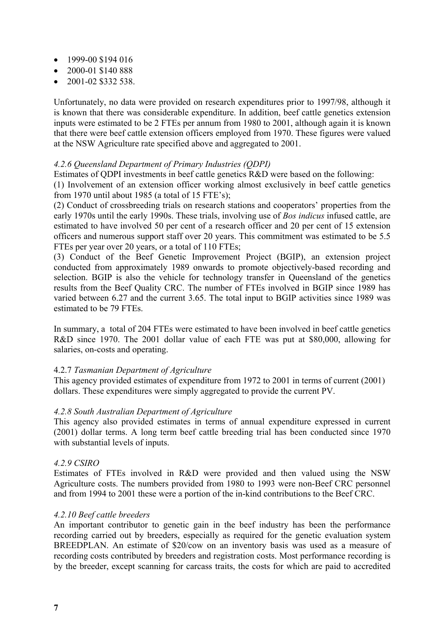- 1999-00 \$194 016
- 2000-01 \$140 888
- $\bullet$  2001-02 \$332 538.

Unfortunately, no data were provided on research expenditures prior to 1997/98, although it is known that there was considerable expenditure. In addition, beef cattle genetics extension inputs were estimated to be 2 FTEs per annum from 1980 to 2001, although again it is known that there were beef cattle extension officers employed from 1970. These figures were valued at the NSW Agriculture rate specified above and aggregated to 2001.

#### *4.2.6 Queensland Department of Primary Industries (QDPI)*

Estimates of QDPI investments in beef cattle genetics R&D were based on the following:

(1) Involvement of an extension officer working almost exclusively in beef cattle genetics from 1970 until about 1985 (a total of 15 FTE's);

(2) Conduct of crossbreeding trials on research stations and cooperators' properties from the early 1970s until the early 1990s. These trials, involving use of *Bos indicus* infused cattle, are estimated to have involved 50 per cent of a research officer and 20 per cent of 15 extension officers and numerous support staff over 20 years. This commitment was estimated to be 5.5 FTEs per year over 20 years, or a total of 110 FTEs;

(3) Conduct of the Beef Genetic Improvement Project (BGIP), an extension project conducted from approximately 1989 onwards to promote objectively-based recording and selection. BGIP is also the vehicle for technology transfer in Queensland of the genetics results from the Beef Quality CRC. The number of FTEs involved in BGIP since 1989 has varied between 6.27 and the current 3.65. The total input to BGIP activities since 1989 was estimated to be 79 FTEs.

In summary, a total of 204 FTEs were estimated to have been involved in beef cattle genetics R&D since 1970. The 2001 dollar value of each FTE was put at \$80,000, allowing for salaries, on-costs and operating.

#### 4.2.7 *Tasmanian Department of Agriculture*

This agency provided estimates of expenditure from 1972 to 2001 in terms of current (2001) dollars. These expenditures were simply aggregated to provide the current PV.

#### *4.2.8 South Australian Department of Agriculture*

This agency also provided estimates in terms of annual expenditure expressed in current (2001) dollar terms. A long term beef cattle breeding trial has been conducted since 1970 with substantial levels of inputs.

#### *4.2.9 CSIRO*

Estimates of FTEs involved in R&D were provided and then valued using the NSW Agriculture costs. The numbers provided from 1980 to 1993 were non-Beef CRC personnel and from 1994 to 2001 these were a portion of the in-kind contributions to the Beef CRC.

#### *4.2.10 Beef cattle breeders*

An important contributor to genetic gain in the beef industry has been the performance recording carried out by breeders, especially as required for the genetic evaluation system BREEDPLAN. An estimate of \$20/cow on an inventory basis was used as a measure of recording costs contributed by breeders and registration costs. Most performance recording is by the breeder, except scanning for carcass traits, the costs for which are paid to accredited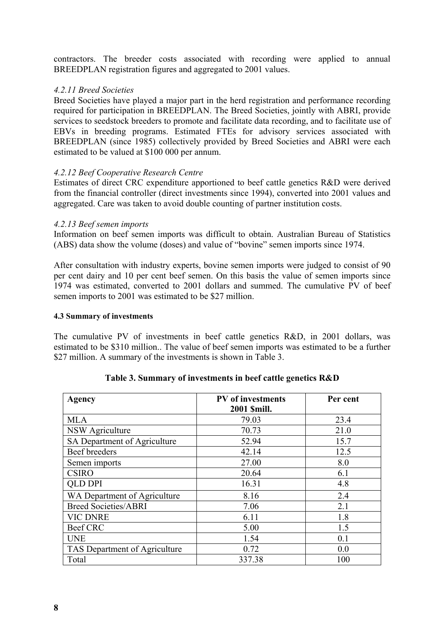contractors. The breeder costs associated with recording were applied to annual BREEDPLAN registration figures and aggregated to 2001 values.

#### *4.2.11 Breed Societies*

Breed Societies have played a major part in the herd registration and performance recording required for participation in BREEDPLAN. The Breed Societies, jointly with ABRI, provide services to seedstock breeders to promote and facilitate data recording, and to facilitate use of EBVs in breeding programs. Estimated FTEs for advisory services associated with BREEDPLAN (since 1985) collectively provided by Breed Societies and ABRI were each estimated to be valued at \$100 000 per annum.

#### *4.2.12 Beef Cooperative Research Centre*

Estimates of direct CRC expenditure apportioned to beef cattle genetics R&D were derived from the financial controller (direct investments since 1994), converted into 2001 values and aggregated. Care was taken to avoid double counting of partner institution costs.

#### *4.2.13 Beef semen imports*

Information on beef semen imports was difficult to obtain. Australian Bureau of Statistics (ABS) data show the volume (doses) and value of "bovine" semen imports since 1974.

After consultation with industry experts, bovine semen imports were judged to consist of 90 per cent dairy and 10 per cent beef semen. On this basis the value of semen imports since 1974 was estimated, converted to 2001 dollars and summed. The cumulative PV of beef semen imports to 2001 was estimated to be \$27 million.

#### **4.3 Summary of investments**

The cumulative PV of investments in beef cattle genetics R&D, in 2001 dollars, was estimated to be \$310 million.. The value of beef semen imports was estimated to be a further \$27 million. A summary of the investments is shown in Table 3.

| Agency                        | <b>PV</b> of investments | Per cent |  |
|-------------------------------|--------------------------|----------|--|
|                               | 2001 \$mill.             |          |  |
| <b>MLA</b>                    | 79.03                    | 23.4     |  |
| <b>NSW Agriculture</b>        | 70.73                    | 21.0     |  |
| SA Department of Agriculture  | 52.94                    | 15.7     |  |
| Beef breeders                 | 42.14                    | 12.5     |  |
| Semen imports                 | 27.00                    | 8.0      |  |
| <b>CSIRO</b>                  | 20.64                    | 6.1      |  |
| <b>QLD DPI</b>                | 16.31                    | 4.8      |  |
| WA Department of Agriculture  | 8.16                     | 2.4      |  |
| <b>Breed Societies/ABRI</b>   | 7.06                     | 2.1      |  |
| <b>VIC DNRE</b>               | 6.11                     | 1.8      |  |
| <b>Beef CRC</b>               | 5.00                     | 1.5      |  |
| <b>UNE</b>                    | 1.54                     | 0.1      |  |
| TAS Department of Agriculture | 0.72                     | 0.0      |  |
| Total                         | 337.38                   | 100      |  |

|  | Table 3. Summary of investments in beef cattle genetics R&D |
|--|-------------------------------------------------------------|
|  |                                                             |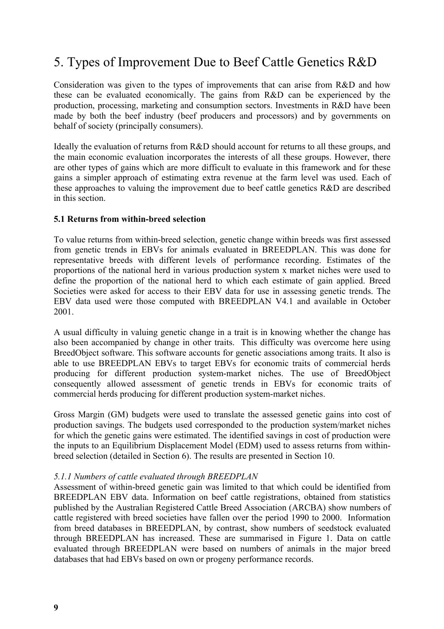## 5. Types of Improvement Due to Beef Cattle Genetics R&D

Consideration was given to the types of improvements that can arise from R&D and how these can be evaluated economically. The gains from R&D can be experienced by the production, processing, marketing and consumption sectors. Investments in R&D have been made by both the beef industry (beef producers and processors) and by governments on behalf of society (principally consumers).

Ideally the evaluation of returns from R&D should account for returns to all these groups, and the main economic evaluation incorporates the interests of all these groups. However, there are other types of gains which are more difficult to evaluate in this framework and for these gains a simpler approach of estimating extra revenue at the farm level was used. Each of these approaches to valuing the improvement due to beef cattle genetics R&D are described in this section.

#### **5.1 Returns from within-breed selection**

To value returns from within-breed selection, genetic change within breeds was first assessed from genetic trends in EBVs for animals evaluated in BREEDPLAN. This was done for representative breeds with different levels of performance recording. Estimates of the proportions of the national herd in various production system x market niches were used to define the proportion of the national herd to which each estimate of gain applied. Breed Societies were asked for access to their EBV data for use in assessing genetic trends. The EBV data used were those computed with BREEDPLAN V4.1 and available in October 2001.

A usual difficulty in valuing genetic change in a trait is in knowing whether the change has also been accompanied by change in other traits. This difficulty was overcome here using BreedObject software. This software accounts for genetic associations among traits. It also is able to use BREEDPLAN EBVs to target EBVs for economic traits of commercial herds producing for different production system-market niches. The use of BreedObject consequently allowed assessment of genetic trends in EBVs for economic traits of commercial herds producing for different production system-market niches.

Gross Margin (GM) budgets were used to translate the assessed genetic gains into cost of production savings. The budgets used corresponded to the production system/market niches for which the genetic gains were estimated. The identified savings in cost of production were the inputs to an Equilibrium Displacement Model (EDM) used to assess returns from withinbreed selection (detailed in Section 6). The results are presented in Section 10.

#### *5.1.1 Numbers of cattle evaluated through BREEDPLAN*

Assessment of within-breed genetic gain was limited to that which could be identified from BREEDPLAN EBV data. Information on beef cattle registrations, obtained from statistics published by the Australian Registered Cattle Breed Association (ARCBA) show numbers of cattle registered with breed societies have fallen over the period 1990 to 2000. Information from breed databases in BREEDPLAN, by contrast, show numbers of seedstock evaluated through BREEDPLAN has increased. These are summarised in Figure 1. Data on cattle evaluated through BREEDPLAN were based on numbers of animals in the major breed databases that had EBVs based on own or progeny performance records.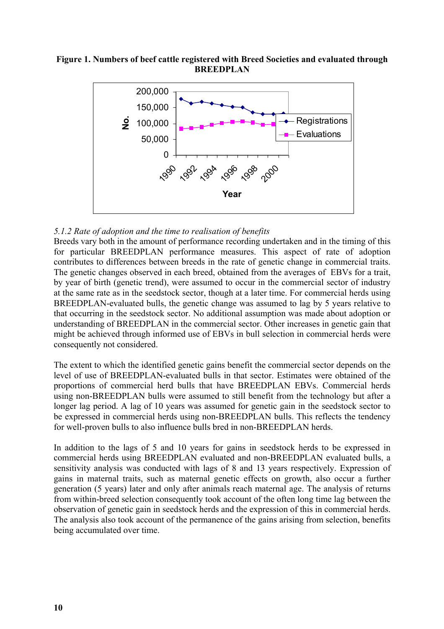**Figure 1. Numbers of beef cattle registered with Breed Societies and evaluated through BREEDPLAN**



#### *5.1.2 Rate of adoption and the time to realisation of benefits*

Breeds vary both in the amount of performance recording undertaken and in the timing of this for particular BREEDPLAN performance measures. This aspect of rate of adoption contributes to differences between breeds in the rate of genetic change in commercial traits. The genetic changes observed in each breed, obtained from the averages of EBVs for a trait, by year of birth (genetic trend), were assumed to occur in the commercial sector of industry at the same rate as in the seedstock sector, though at a later time. For commercial herds using BREEDPLAN-evaluated bulls, the genetic change was assumed to lag by 5 years relative to that occurring in the seedstock sector. No additional assumption was made about adoption or understanding of BREEDPLAN in the commercial sector. Other increases in genetic gain that might be achieved through informed use of EBVs in bull selection in commercial herds were consequently not considered.

The extent to which the identified genetic gains benefit the commercial sector depends on the level of use of BREEDPLAN-evaluated bulls in that sector. Estimates were obtained of the proportions of commercial herd bulls that have BREEDPLAN EBVs. Commercial herds using non-BREEDPLAN bulls were assumed to still benefit from the technology but after a longer lag period. A lag of 10 years was assumed for genetic gain in the seedstock sector to be expressed in commercial herds using non-BREEDPLAN bulls. This reflects the tendency for well-proven bulls to also influence bulls bred in non-BREEDPLAN herds.

In addition to the lags of 5 and 10 years for gains in seedstock herds to be expressed in commercial herds using BREEDPLAN evaluated and non-BREEDPLAN evaluated bulls, a sensitivity analysis was conducted with lags of 8 and 13 years respectively. Expression of gains in maternal traits, such as maternal genetic effects on growth, also occur a further generation (5 years) later and only after animals reach maternal age. The analysis of returns from within-breed selection consequently took account of the often long time lag between the observation of genetic gain in seedstock herds and the expression of this in commercial herds. The analysis also took account of the permanence of the gains arising from selection, benefits being accumulated over time.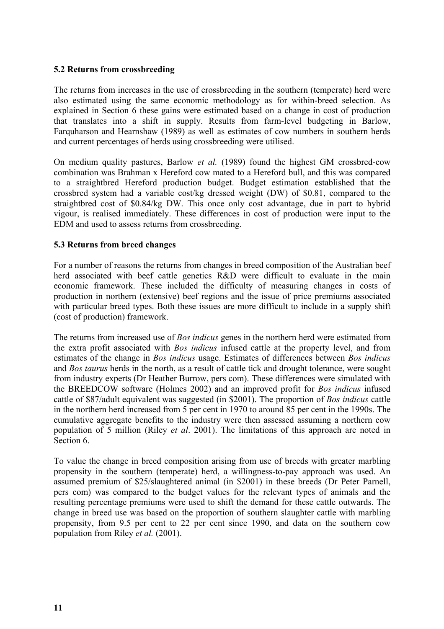#### **5.2 Returns from crossbreeding**

The returns from increases in the use of crossbreeding in the southern (temperate) herd were also estimated using the same economic methodology as for within-breed selection. As explained in Section 6 these gains were estimated based on a change in cost of production that translates into a shift in supply. Results from farm-level budgeting in Barlow, Farquharson and Hearnshaw (1989) as well as estimates of cow numbers in southern herds and current percentages of herds using crossbreeding were utilised.

On medium quality pastures, Barlow *et al.* (1989) found the highest GM crossbred-cow combination was Brahman x Hereford cow mated to a Hereford bull, and this was compared to a straightbred Hereford production budget. Budget estimation established that the crossbred system had a variable cost/kg dressed weight (DW) of \$0.81, compared to the straightbred cost of \$0.84/kg DW. This once only cost advantage, due in part to hybrid vigour, is realised immediately. These differences in cost of production were input to the EDM and used to assess returns from crossbreeding.

#### **5.3 Returns from breed changes**

For a number of reasons the returns from changes in breed composition of the Australian beef herd associated with beef cattle genetics R&D were difficult to evaluate in the main economic framework. These included the difficulty of measuring changes in costs of production in northern (extensive) beef regions and the issue of price premiums associated with particular breed types. Both these issues are more difficult to include in a supply shift (cost of production) framework.

The returns from increased use of *Bos indicus* genes in the northern herd were estimated from the extra profit associated with *Bos indicus* infused cattle at the property level, and from estimates of the change in *Bos indicus* usage. Estimates of differences between *Bos indicus* and *Bos taurus* herds in the north, as a result of cattle tick and drought tolerance, were sought from industry experts (Dr Heather Burrow, pers com). These differences were simulated with the BREEDCOW software (Holmes 2002) and an improved profit for *Bos indicus* infused cattle of \$87/adult equivalent was suggested (in \$2001). The proportion of *Bos indicus* cattle in the northern herd increased from 5 per cent in 1970 to around 85 per cent in the 1990s. The cumulative aggregate benefits to the industry were then assessed assuming a northern cow population of 5 million (Riley *et al*. 2001). The limitations of this approach are noted in Section 6.

To value the change in breed composition arising from use of breeds with greater marbling propensity in the southern (temperate) herd, a willingness-to-pay approach was used. An assumed premium of \$25/slaughtered animal (in \$2001) in these breeds (Dr Peter Parnell, pers com) was compared to the budget values for the relevant types of animals and the resulting percentage premiums were used to shift the demand for these cattle outwards. The change in breed use was based on the proportion of southern slaughter cattle with marbling propensity, from 9.5 per cent to 22 per cent since 1990, and data on the southern cow population from Riley *et al.* (2001).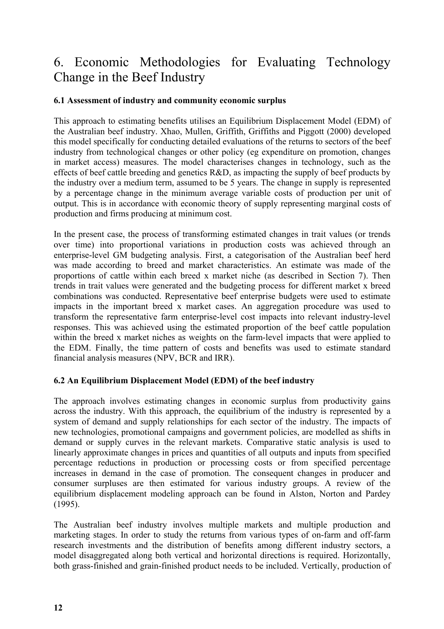# 6. Economic Methodologies for Evaluating Technology Change in the Beef Industry

#### **6.1 Assessment of industry and community economic surplus**

This approach to estimating benefits utilises an Equilibrium Displacement Model (EDM) of the Australian beef industry. Xhao, Mullen, Griffith, Griffiths and Piggott (2000) developed this model specifically for conducting detailed evaluations of the returns to sectors of the beef industry from technological changes or other policy (eg expenditure on promotion, changes in market access) measures. The model characterises changes in technology, such as the effects of beef cattle breeding and genetics R&D, as impacting the supply of beef products by the industry over a medium term, assumed to be 5 years. The change in supply is represented by a percentage change in the minimum average variable costs of production per unit of output. This is in accordance with economic theory of supply representing marginal costs of production and firms producing at minimum cost.

In the present case, the process of transforming estimated changes in trait values (or trends over time) into proportional variations in production costs was achieved through an enterprise-level GM budgeting analysis. First, a categorisation of the Australian beef herd was made according to breed and market characteristics. An estimate was made of the proportions of cattle within each breed x market niche (as described in Section 7). Then trends in trait values were generated and the budgeting process for different market x breed combinations was conducted. Representative beef enterprise budgets were used to estimate impacts in the important breed x market cases. An aggregation procedure was used to transform the representative farm enterprise-level cost impacts into relevant industry-level responses. This was achieved using the estimated proportion of the beef cattle population within the breed x market niches as weights on the farm-level impacts that were applied to the EDM. Finally, the time pattern of costs and benefits was used to estimate standard financial analysis measures (NPV, BCR and IRR).

#### **6.2 An Equilibrium Displacement Model (EDM) of the beef industry**

The approach involves estimating changes in economic surplus from productivity gains across the industry. With this approach, the equilibrium of the industry is represented by a system of demand and supply relationships for each sector of the industry. The impacts of new technologies, promotional campaigns and government policies, are modelled as shifts in demand or supply curves in the relevant markets. Comparative static analysis is used to linearly approximate changes in prices and quantities of all outputs and inputs from specified percentage reductions in production or processing costs or from specified percentage increases in demand in the case of promotion. The consequent changes in producer and consumer surpluses are then estimated for various industry groups. A review of the equilibrium displacement modeling approach can be found in Alston, Norton and Pardey (1995).

The Australian beef industry involves multiple markets and multiple production and marketing stages. In order to study the returns from various types of on-farm and off-farm research investments and the distribution of benefits among different industry sectors, a model disaggregated along both vertical and horizontal directions is required. Horizontally, both grass-finished and grain-finished product needs to be included. Vertically, production of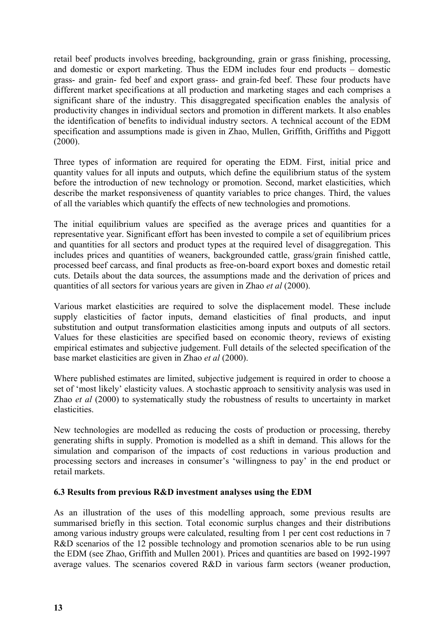retail beef products involves breeding, backgrounding, grain or grass finishing, processing, and domestic or export marketing. Thus the EDM includes four end products – domestic grass- and grain- fed beef and export grass- and grain-fed beef. These four products have different market specifications at all production and marketing stages and each comprises a significant share of the industry. This disaggregated specification enables the analysis of productivity changes in individual sectors and promotion in different markets. It also enables the identification of benefits to individual industry sectors. A technical account of the EDM specification and assumptions made is given in Zhao, Mullen, Griffith, Griffiths and Piggott (2000).

Three types of information are required for operating the EDM. First, initial price and quantity values for all inputs and outputs, which define the equilibrium status of the system before the introduction of new technology or promotion. Second, market elasticities, which describe the market responsiveness of quantity variables to price changes. Third, the values of all the variables which quantify the effects of new technologies and promotions.

The initial equilibrium values are specified as the average prices and quantities for a representative year. Significant effort has been invested to compile a set of equilibrium prices and quantities for all sectors and product types at the required level of disaggregation. This includes prices and quantities of weaners, backgrounded cattle, grass/grain finished cattle, processed beef carcass, and final products as free-on-board export boxes and domestic retail cuts. Details about the data sources, the assumptions made and the derivation of prices and quantities of all sectors for various years are given in Zhao *et al* (2000).

Various market elasticities are required to solve the displacement model. These include supply elasticities of factor inputs, demand elasticities of final products, and input substitution and output transformation elasticities among inputs and outputs of all sectors. Values for these elasticities are specified based on economic theory, reviews of existing empirical estimates and subjective judgement. Full details of the selected specification of the base market elasticities are given in Zhao *et al* (2000).

Where published estimates are limited, subjective judgement is required in order to choose a set of 'most likely' elasticity values. A stochastic approach to sensitivity analysis was used in Zhao *et al* (2000) to systematically study the robustness of results to uncertainty in market elasticities.

New technologies are modelled as reducing the costs of production or processing, thereby generating shifts in supply. Promotion is modelled as a shift in demand. This allows for the simulation and comparison of the impacts of cost reductions in various production and processing sectors and increases in consumer's 'willingness to pay' in the end product or retail markets.

#### **6.3 Results from previous R&D investment analyses using the EDM**

As an illustration of the uses of this modelling approach, some previous results are summarised briefly in this section. Total economic surplus changes and their distributions among various industry groups were calculated, resulting from 1 per cent cost reductions in 7 R&D scenarios of the 12 possible technology and promotion scenarios able to be run using the EDM (see Zhao, Griffith and Mullen 2001). Prices and quantities are based on 1992-1997 average values. The scenarios covered R&D in various farm sectors (weaner production,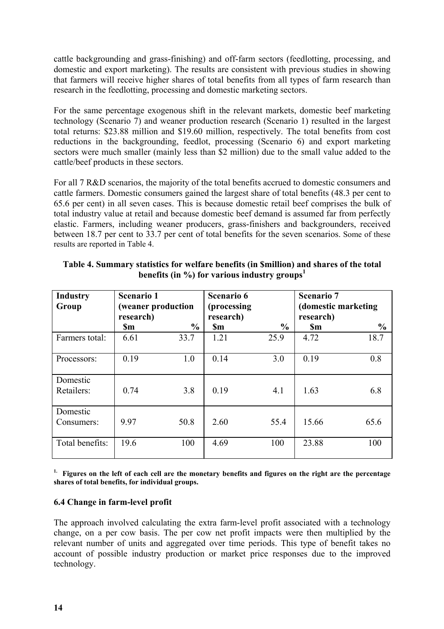cattle backgrounding and grass-finishing) and off-farm sectors (feedlotting, processing, and domestic and export marketing). The results are consistent with previous studies in showing that farmers will receive higher shares of total benefits from all types of farm research than research in the feedlotting, processing and domestic marketing sectors.

For the same percentage exogenous shift in the relevant markets, domestic beef marketing technology (Scenario 7) and weaner production research (Scenario 1) resulted in the largest total returns: \$23.88 million and \$19.60 million, respectively. The total benefits from cost reductions in the backgrounding, feedlot, processing (Scenario 6) and export marketing sectors were much smaller (mainly less than \$2 million) due to the small value added to the cattle/beef products in these sectors.

For all 7 R&D scenarios, the majority of the total benefits accrued to domestic consumers and cattle farmers. Domestic consumers gained the largest share of total benefits (48.3 per cent to 65.6 per cent) in all seven cases. This is because domestic retail beef comprises the bulk of total industry value at retail and because domestic beef demand is assumed far from perfectly elastic. Farmers, including weaner producers, grass-finishers and backgrounders, received between 18.7 per cent to 33.7 per cent of total benefits for the seven scenarios. Some of these results are reported in Table 4.

| <b>Industry</b><br>Group | <b>Scenario 1</b><br>(weaner production<br>research) |               | <b>Scenario 6</b><br>(processing)<br>research) |               | <b>Scenario 7</b><br>(domestic marketing<br>research) |               |
|--------------------------|------------------------------------------------------|---------------|------------------------------------------------|---------------|-------------------------------------------------------|---------------|
|                          | <b>Sm</b>                                            | $\frac{0}{0}$ | <b>Sm</b>                                      | $\frac{0}{0}$ | <b>Sm</b>                                             | $\frac{0}{0}$ |
| Farmers total:           | 6.61                                                 | 33.7          | 1.21                                           | 25.9          | 4.72                                                  | 18.7          |
| Processors:              | 0.19                                                 | 1.0           | 0.14                                           | 3.0           | 0.19                                                  | 0.8           |
| Domestic<br>Retailers:   | 0.74                                                 | 3.8           | 0.19                                           | 4.1           | 1.63                                                  | 6.8           |
| Domestic<br>Consumers:   | 9.97                                                 | 50.8          | 2.60                                           | 55.4          | 15.66                                                 | 65.6          |
| Total benefits:          | 19.6                                                 | 100           | 4.69                                           | 100           | 23.88                                                 | 100           |

#### **Table 4. Summary statistics for welfare benefits (in \$million) and shares of the total benefits (in %) for various industry groups<sup>1</sup>**

**1. Figures on the left of each cell are the monetary benefits and figures on the right are the percentage shares of total benefits, for individual groups.**

#### **6.4 Change in farm-level profit**

The approach involved calculating the extra farm-level profit associated with a technology change, on a per cow basis. The per cow net profit impacts were then multiplied by the relevant number of units and aggregated over time periods. This type of benefit takes no account of possible industry production or market price responses due to the improved technology.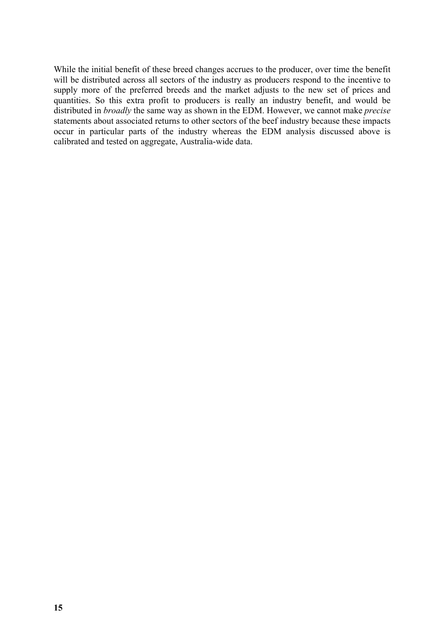While the initial benefit of these breed changes accrues to the producer, over time the benefit will be distributed across all sectors of the industry as producers respond to the incentive to supply more of the preferred breeds and the market adjusts to the new set of prices and quantities. So this extra profit to producers is really an industry benefit, and would be distributed in *broadly* the same way as shown in the EDM. However, we cannot make *precise* statements about associated returns to other sectors of the beef industry because these impacts occur in particular parts of the industry whereas the EDM analysis discussed above is calibrated and tested on aggregate, Australia-wide data.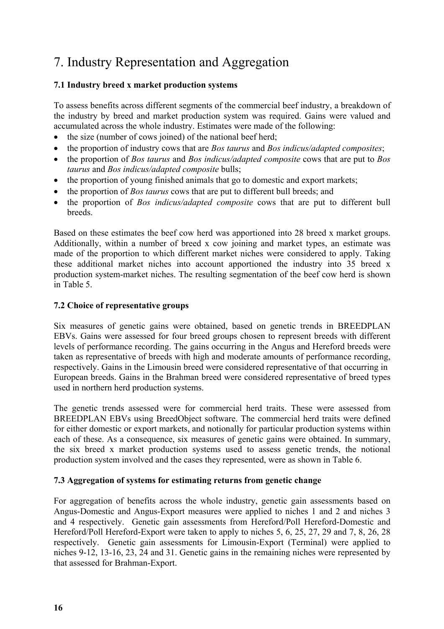# 7. Industry Representation and Aggregation

#### **7.1 Industry breed x market production systems**

To assess benefits across different segments of the commercial beef industry, a breakdown of the industry by breed and market production system was required. Gains were valued and accumulated across the whole industry. Estimates were made of the following:

- the size (number of cows joined) of the national beef herd;
- the proportion of industry cows that are *Bos taurus* and *Bos indicus/adapted composites*;
- the proportion of *Bos taurus* and *Bos indicus/adapted composite* cows that are put to *Bos taurus* and *Bos indicus/adapted composite* bulls;
- the proportion of young finished animals that go to domestic and export markets;
- the proportion of *Bos taurus* cows that are put to different bull breeds; and
- the proportion of *Bos indicus/adapted composite* cows that are put to different bull **breeds**

Based on these estimates the beef cow herd was apportioned into 28 breed x market groups. Additionally, within a number of breed x cow joining and market types, an estimate was made of the proportion to which different market niches were considered to apply. Taking these additional market niches into account apportioned the industry into 35 breed x production system-market niches. The resulting segmentation of the beef cow herd is shown in Table 5.

#### **7.2 Choice of representative groups**

Six measures of genetic gains were obtained, based on genetic trends in BREEDPLAN EBVs. Gains were assessed for four breed groups chosen to represent breeds with different levels of performance recording. The gains occurring in the Angus and Hereford breeds were taken as representative of breeds with high and moderate amounts of performance recording, respectively. Gains in the Limousin breed were considered representative of that occurring in European breeds. Gains in the Brahman breed were considered representative of breed types used in northern herd production systems.

The genetic trends assessed were for commercial herd traits. These were assessed from BREEDPLAN EBVs using BreedObject software. The commercial herd traits were defined for either domestic or export markets, and notionally for particular production systems within each of these. As a consequence, six measures of genetic gains were obtained. In summary, the six breed x market production systems used to assess genetic trends, the notional production system involved and the cases they represented, were as shown in Table 6.

#### **7.3 Aggregation of systems for estimating returns from genetic change**

For aggregation of benefits across the whole industry, genetic gain assessments based on Angus-Domestic and Angus-Export measures were applied to niches 1 and 2 and niches 3 and 4 respectively. Genetic gain assessments from Hereford/Poll Hereford-Domestic and Hereford/Poll Hereford-Export were taken to apply to niches 5, 6, 25, 27, 29 and 7, 8, 26, 28 respectively. Genetic gain assessments for Limousin-Export (Terminal) were applied to niches 9-12, 13-16, 23, 24 and 31. Genetic gains in the remaining niches were represented by that assessed for Brahman-Export.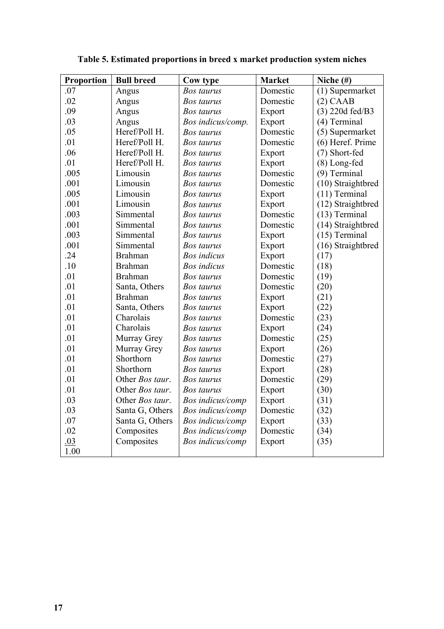| Proportion | <b>Bull breed</b> | Cow type           | <b>Market</b> | Niche $(\#)$      |
|------------|-------------------|--------------------|---------------|-------------------|
| .07        | Angus             | Bos taurus         | Domestic      | (1) Supermarket   |
| .02        | Angus             | Bos taurus         | Domestic      | $(2)$ CAAB        |
| .09        | Angus             | Bos taurus         | Export        | $(3)$ 220d fed/B3 |
| .03        | Angus             | Bos indicus/comp.  | Export        | (4) Terminal      |
| .05        | Heref/Poll H.     | Bos taurus         | Domestic      | (5) Supermarket   |
| .01        | Heref/Poll H.     | <b>Bos taurus</b>  | Domestic      | (6) Heref. Prime  |
| .06        | Heref/Poll H.     | Bos taurus         | Export        | (7) Short-fed     |
| .01        | Heref/Poll H.     | <b>Bos taurus</b>  | Export        | (8) Long-fed      |
| .005       | Limousin          | Bos taurus         | Domestic      | (9) Terminal      |
| .001       | Limousin          | Bos taurus         | Domestic      | (10) Straightbred |
| .005       | Limousin          | Bos taurus         | Export        | $(11)$ Terminal   |
| .001       | Limousin          | <b>Bos taurus</b>  | Export        | (12) Straightbred |
| .003       | Simmental         | Bos taurus         | Domestic      | $(13)$ Terminal   |
| .001       | Simmental         | Bos taurus         | Domestic      | (14) Straightbred |
| .003       | Simmental         | <b>Bos taurus</b>  | Export        | $(15)$ Terminal   |
| .001       | Simmental         | <b>Bos taurus</b>  | Export        | (16) Straightbred |
| .24        | <b>Brahman</b>    | <b>Bos</b> indicus | Export        | (17)              |
| .10        | <b>Brahman</b>    | <b>Bos</b> indicus | Domestic      | (18)              |
| .01        | <b>Brahman</b>    | Bos taurus         | Domestic      | (19)              |
| .01        | Santa, Others     | Bos taurus         | Domestic      | (20)              |
| .01        | <b>Brahman</b>    | <b>Bos taurus</b>  | Export        | (21)              |
| .01        | Santa, Others     | <b>Bos taurus</b>  | Export        | (22)              |
| .01        | Charolais         | Bos taurus         | Domestic      | (23)              |
| .01        | Charolais         | <b>Bos taurus</b>  | Export        | (24)              |
| .01        | Murray Grey       | <b>Bos taurus</b>  | Domestic      | (25)              |
| .01        | Murray Grey       | Bos taurus         | Export        | (26)              |
| .01        | Shorthorn         | Bos taurus         | Domestic      | (27)              |
| .01        | Shorthorn         | <b>Bos taurus</b>  | Export        | (28)              |
| .01        | Other Bos taur.   | <b>Bos</b> taurus  | Domestic      | (29)              |
| .01        | Other Bos taur.   | Bos taurus         | Export        | (30)              |
| .03        | Other Bos taur.   | Bos indicus/comp   | Export        | (31)              |
| .03        | Santa G, Others   | Bos indicus/comp   | Domestic      | (32)              |
| .07        | Santa G, Others   | Bos indicus/comp   | Export        | (33)              |
| .02        | Composites        | Bos indicus/comp   | Domestic      | (34)              |
| .03        | Composites        | Bos indicus/comp   | Export        | (35)              |
| 1.00       |                   |                    |               |                   |

**Table 5. Estimated proportions in breed x market production system niches**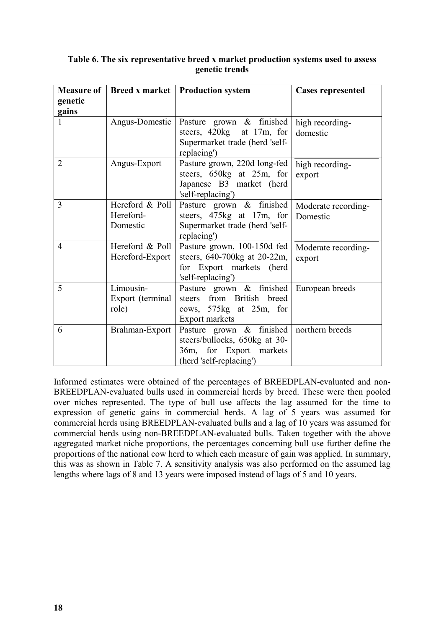| <b>Measure of</b> |                                          | <b>Breed x market   Production system</b>                                                                       | <b>Cases represented</b>        |
|-------------------|------------------------------------------|-----------------------------------------------------------------------------------------------------------------|---------------------------------|
| genetic<br>gains  |                                          |                                                                                                                 |                                 |
|                   | Angus-Domestic                           | Pasture grown & finished<br>steers, 420kg at 17m, for<br>Supermarket trade (herd 'self-<br>replacing')          | high recording-<br>domestic     |
| $\overline{2}$    | Angus-Export                             | Pasture grown, 220d long-fed<br>steers, 650kg at 25m, for<br>Japanese B3 market (herd<br>'self-replacing')      | high recording-<br>export       |
| 3                 | Hereford & Poll<br>Hereford-<br>Domestic | Pasture grown & finished<br>steers, 475kg at 17m, for<br>Supermarket trade (herd 'self-<br>replacing')          | Moderate recording-<br>Domestic |
| $\overline{4}$    | Hereford & Poll<br>Hereford-Export       | Pasture grown, 100-150d fed<br>steers, 640-700kg at 20-22m,<br>for Export markets (herd<br>'self-replacing')    | Moderate recording-<br>export   |
| 5                 | Limousin-<br>Export (terminal<br>role)   | Pasture grown & finished<br>steers from British breed<br>cows, 575kg at 25m, for<br>Export markets              | European breeds                 |
| 6                 | Brahman-Export                           | Pasture grown & finished<br>steers/bullocks, 650kg at 30-<br>36m, for Export markets<br>(herd 'self-replacing') | northern breeds                 |

#### **Table 6. The six representative breed x market production systems used to assess genetic trends**

Informed estimates were obtained of the percentages of BREEDPLAN-evaluated and non-BREEDPLAN-evaluated bulls used in commercial herds by breed. These were then pooled over niches represented. The type of bull use affects the lag assumed for the time to expression of genetic gains in commercial herds. A lag of 5 years was assumed for commercial herds using BREEDPLAN-evaluated bulls and a lag of 10 years was assumed for commercial herds using non-BREEDPLAN-evaluated bulls. Taken together with the above aggregated market niche proportions, the percentages concerning bull use further define the proportions of the national cow herd to which each measure of gain was applied. In summary, this was as shown in Table 7. A sensitivity analysis was also performed on the assumed lag lengths where lags of 8 and 13 years were imposed instead of lags of 5 and 10 years.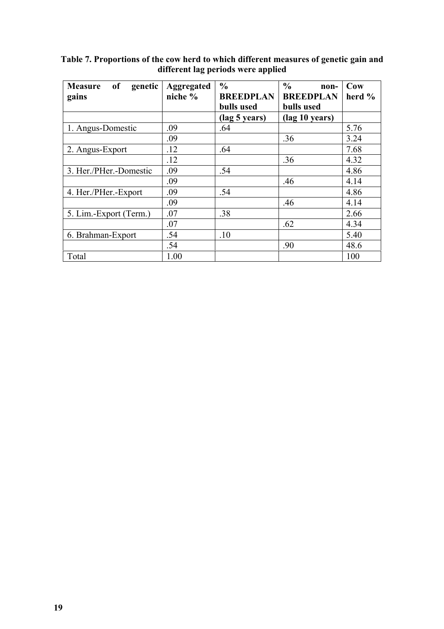| of<br>genetic<br><b>Measure</b><br>gains | <b>Aggregated</b><br>niche % | $\frac{6}{6}$<br><b>BREEDPLAN</b> | $\frac{6}{9}$<br>non-<br><b>BREEDPLAN</b> | Cow<br>herd $%$ |
|------------------------------------------|------------------------------|-----------------------------------|-------------------------------------------|-----------------|
|                                          |                              | bulls used                        | bulls used                                |                 |
|                                          |                              | (lag 5 years)                     | (lag 10 years)                            |                 |
| 1. Angus-Domestic                        | .09                          | .64                               |                                           | 5.76            |
|                                          | .09                          |                                   | .36                                       | 3.24            |
| 2. Angus-Export                          | .12                          | .64                               |                                           | 7.68            |
|                                          | .12                          |                                   | .36                                       | 4.32            |
| 3. Her./PHer.-Domestic                   | .09                          | .54                               |                                           | 4.86            |
|                                          | .09                          |                                   | .46                                       | 4.14            |
| 4. Her./PHer.-Export                     | .09                          | .54                               |                                           | 4.86            |
|                                          | .09                          |                                   | .46                                       | 4.14            |
| 5. Lim.-Export (Term.)                   | .07                          | .38                               |                                           | 2.66            |
|                                          | .07                          |                                   | .62                                       | 4.34            |
| 6. Brahman-Export                        | .54                          | .10                               |                                           | 5.40            |
|                                          | .54                          |                                   | .90                                       | 48.6            |
| Total                                    | 1.00                         |                                   |                                           | 100             |

**Table 7. Proportions of the cow herd to which different measures of genetic gain and different lag periods were applied**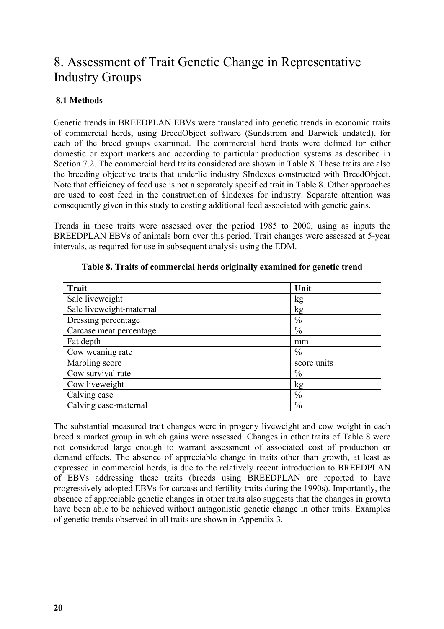### 8. Assessment of Trait Genetic Change in Representative Industry Groups

#### **8.1 Methods**

Genetic trends in BREEDPLAN EBVs were translated into genetic trends in economic traits of commercial herds, using BreedObject software (Sundstrom and Barwick undated), for each of the breed groups examined. The commercial herd traits were defined for either domestic or export markets and according to particular production systems as described in Section 7.2. The commercial herd traits considered are shown in Table 8. These traits are also the breeding objective traits that underlie industry \$Indexes constructed with BreedObject. Note that efficiency of feed use is not a separately specified trait in Table 8. Other approaches are used to cost feed in the construction of \$Indexes for industry. Separate attention was consequently given in this study to costing additional feed associated with genetic gains.

Trends in these traits were assessed over the period 1985 to 2000, using as inputs the BREEDPLAN EBVs of animals born over this period. Trait changes were assessed at 5-year intervals, as required for use in subsequent analysis using the EDM.

| <b>Trait</b>             | Unit          |
|--------------------------|---------------|
| Sale liveweight          | kg            |
| Sale liveweight-maternal | kg            |
| Dressing percentage      | $\frac{0}{0}$ |
| Carcase meat percentage  | $\frac{0}{0}$ |
| Fat depth                | mm            |
| Cow weaning rate         | $\frac{0}{0}$ |
| Marbling score           | score units   |
| Cow survival rate        | $\frac{0}{0}$ |
| Cow liveweight           | kg            |
| Calving ease             | $\%$          |
| Calving ease-maternal    | $\frac{0}{0}$ |

| Table 8. Traits of commercial herds originally examined for genetic trend |  |  |
|---------------------------------------------------------------------------|--|--|
|---------------------------------------------------------------------------|--|--|

The substantial measured trait changes were in progeny liveweight and cow weight in each breed x market group in which gains were assessed. Changes in other traits of Table 8 were not considered large enough to warrant assessment of associated cost of production or demand effects. The absence of appreciable change in traits other than growth, at least as expressed in commercial herds, is due to the relatively recent introduction to BREEDPLAN of EBVs addressing these traits (breeds using BREEDPLAN are reported to have progressively adopted EBVs for carcass and fertility traits during the 1990s). Importantly, the absence of appreciable genetic changes in other traits also suggests that the changes in growth have been able to be achieved without antagonistic genetic change in other traits. Examples of genetic trends observed in all traits are shown in Appendix 3.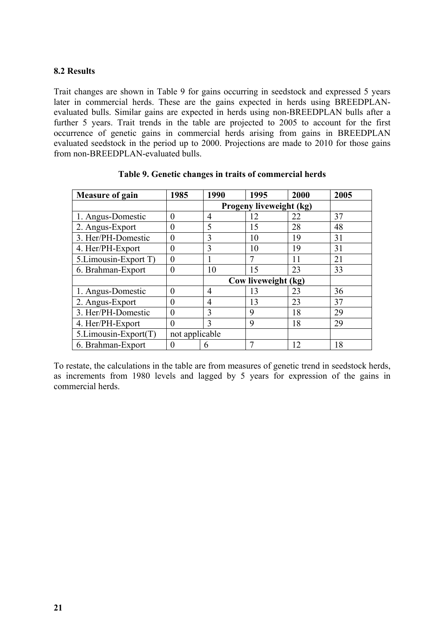#### **8.2 Results**

Trait changes are shown in Table 9 for gains occurring in seedstock and expressed 5 years later in commercial herds. These are the gains expected in herds using BREEDPLANevaluated bulls. Similar gains are expected in herds using non-BREEDPLAN bulls after a further 5 years. Trait trends in the table are projected to 2005 to account for the first occurrence of genetic gains in commercial herds arising from gains in BREEDPLAN evaluated seedstock in the period up to 2000. Projections are made to 2010 for those gains from non-BREEDPLAN-evaluated bulls.

| <b>Measure of gain</b> | 1985           | 1990           | 1995                    | 2000 | 2005 |
|------------------------|----------------|----------------|-------------------------|------|------|
|                        |                |                | Progeny liveweight (kg) |      |      |
| 1. Angus-Domestic      | 0              | 4              | 12                      | 22   | 37   |
| 2. Angus-Export        | 0              | 5              | 15                      | 28   | 48   |
| 3. Her/PH-Domestic     | 0              | 3              | 10                      | 19   | 31   |
| 4. Her/PH-Export       | $\theta$       | 3              | 10                      | 19   | 31   |
| 5. Limousin-Export T)  | 0              |                | 7                       | 11   | 21   |
| 6. Brahman-Export      | $\theta$       | 10             | 15                      | 23   | 33   |
|                        |                |                | Cow liveweight (kg)     |      |      |
| 1. Angus-Domestic      | $\theta$       | 4              | 13                      | 23   | 36   |
| 2. Angus-Export        | 0              | $\overline{4}$ | 13                      | 23   | 37   |
| 3. Her/PH-Domestic     | 0              | 3              | 9                       | 18   | 29   |
| 4. Her/PH-Export       | 0              | 3              | 9                       | 18   | 29   |
| 5.Limousin-Export(T)   | not applicable |                |                         |      |      |
| 6. Brahman-Export      | 0              | 6              | 7                       | 12   | 18   |

|  |  | Table 9. Genetic changes in traits of commercial herds |  |
|--|--|--------------------------------------------------------|--|
|  |  |                                                        |  |

To restate, the calculations in the table are from measures of genetic trend in seedstock herds, as increments from 1980 levels and lagged by 5 years for expression of the gains in commercial herds.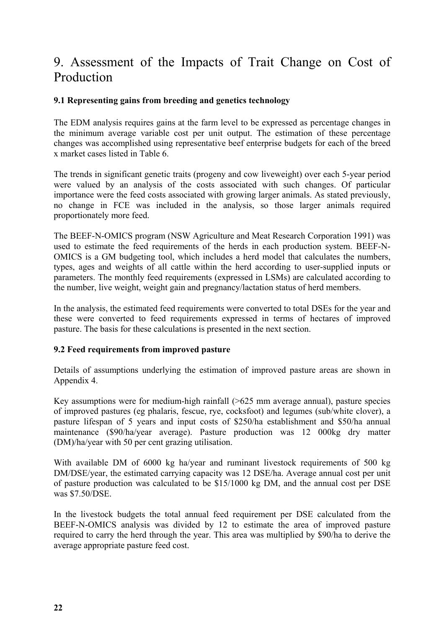## 9. Assessment of the Impacts of Trait Change on Cost of Production

#### **9.1 Representing gains from breeding and genetics technology**

The EDM analysis requires gains at the farm level to be expressed as percentage changes in the minimum average variable cost per unit output. The estimation of these percentage changes was accomplished using representative beef enterprise budgets for each of the breed x market cases listed in Table 6.

The trends in significant genetic traits (progeny and cow liveweight) over each 5-year period were valued by an analysis of the costs associated with such changes. Of particular importance were the feed costs associated with growing larger animals. As stated previously, no change in FCE was included in the analysis, so those larger animals required proportionately more feed.

The BEEF-N-OMICS program (NSW Agriculture and Meat Research Corporation 1991) was used to estimate the feed requirements of the herds in each production system. BEEF-N-OMICS is a GM budgeting tool, which includes a herd model that calculates the numbers, types, ages and weights of all cattle within the herd according to user-supplied inputs or parameters. The monthly feed requirements (expressed in LSMs) are calculated according to the number, live weight, weight gain and pregnancy/lactation status of herd members.

In the analysis, the estimated feed requirements were converted to total DSEs for the year and these were converted to feed requirements expressed in terms of hectares of improved pasture. The basis for these calculations is presented in the next section.

#### **9.2 Feed requirements from improved pasture**

Details of assumptions underlying the estimation of improved pasture areas are shown in Appendix 4.

Key assumptions were for medium-high rainfall (>625 mm average annual), pasture species of improved pastures (eg phalaris, fescue, rye, cocksfoot) and legumes (sub/white clover), a pasture lifespan of 5 years and input costs of \$250/ha establishment and \$50/ha annual maintenance (\$90/ha/year average). Pasture production was 12 000kg dry matter (DM)/ha/year with 50 per cent grazing utilisation.

With available DM of 6000 kg ha/year and ruminant livestock requirements of 500 kg DM/DSE/year, the estimated carrying capacity was 12 DSE/ha. Average annual cost per unit of pasture production was calculated to be \$15/1000 kg DM, and the annual cost per DSE was \$7.50/DSE.

In the livestock budgets the total annual feed requirement per DSE calculated from the BEEF-N-OMICS analysis was divided by 12 to estimate the area of improved pasture required to carry the herd through the year. This area was multiplied by \$90/ha to derive the average appropriate pasture feed cost.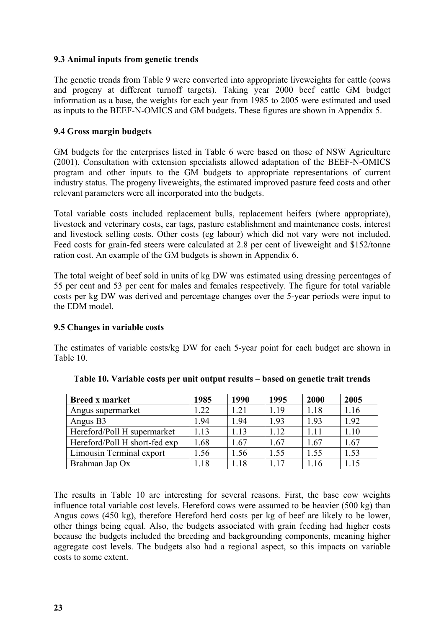#### **9.3 Animal inputs from genetic trends**

The genetic trends from Table 9 were converted into appropriate liveweights for cattle (cows and progeny at different turnoff targets). Taking year 2000 beef cattle GM budget information as a base, the weights for each year from 1985 to 2005 were estimated and used as inputs to the BEEF-N-OMICS and GM budgets. These figures are shown in Appendix 5.

#### **9.4 Gross margin budgets**

GM budgets for the enterprises listed in Table 6 were based on those of NSW Agriculture (2001). Consultation with extension specialists allowed adaptation of the BEEF-N-OMICS program and other inputs to the GM budgets to appropriate representations of current industry status. The progeny liveweights, the estimated improved pasture feed costs and other relevant parameters were all incorporated into the budgets.

Total variable costs included replacement bulls, replacement heifers (where appropriate), livestock and veterinary costs, ear tags, pasture establishment and maintenance costs, interest and livestock selling costs. Other costs (eg labour) which did not vary were not included. Feed costs for grain-fed steers were calculated at 2.8 per cent of liveweight and \$152/tonne ration cost. An example of the GM budgets is shown in Appendix 6.

The total weight of beef sold in units of kg DW was estimated using dressing percentages of 55 per cent and 53 per cent for males and females respectively. The figure for total variable costs per kg DW was derived and percentage changes over the 5-year periods were input to the EDM model.

#### **9.5 Changes in variable costs**

The estimates of variable costs/kg DW for each 5-year point for each budget are shown in Table 10.

| <b>Breed x market</b>         | 1985          | 1990 | 1995 | 2000 | 2005 |
|-------------------------------|---------------|------|------|------|------|
| Angus supermarket             | 1.22          | 1.21 | 1.19 | 1.18 | 1.16 |
| Angus B3                      | 1.94          | 1.94 | 1.93 | 1.93 | 1.92 |
| Hereford/Poll H supermarket   | 1.13          | 1.13 | 1.12 | 1.11 | 1.10 |
| Hereford/Poll H short-fed exp | 1.68          | 1.67 | 1.67 | 1.67 | 1.67 |
| Limousin Terminal export      | 1.56          | 1.56 | 1.55 | 1.55 | 1.53 |
| Brahman Jap Ox                | $\lfloor .18$ | .18  | 117  | -16  | l.15 |

|  |  |  |  | Table 10. Variable costs per unit output results - based on genetic trait trends |  |
|--|--|--|--|----------------------------------------------------------------------------------|--|
|--|--|--|--|----------------------------------------------------------------------------------|--|

The results in Table 10 are interesting for several reasons. First, the base cow weights influence total variable cost levels. Hereford cows were assumed to be heavier (500 kg) than Angus cows (450 kg), therefore Hereford herd costs per kg of beef are likely to be lower, other things being equal. Also, the budgets associated with grain feeding had higher costs because the budgets included the breeding and backgrounding components, meaning higher aggregate cost levels. The budgets also had a regional aspect, so this impacts on variable costs to some extent.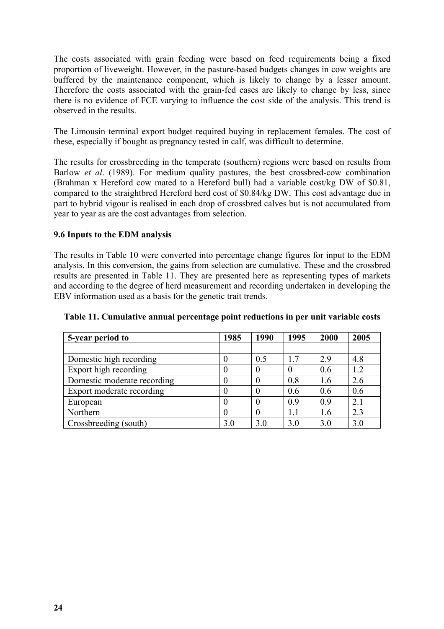The costs associated with grain feeding were based on feed requirements being a fixed proportion of liveweight. However, in the pasture-based budgets changes in cow weights are buffered by the maintenance component, which is likely to change by a lesser amount. Therefore the costs associated with the grain-fed cases are likely to change by less, since there is no evidence of FCE varying to influence the cost side of the analysis. This trend is observed in the results.

The Limousin terminal export budget required buying in replacement females. The cost of these, especially if bought as pregnancy tested in calf, was difficult to determine.

The results for crossbreeding in the temperate (southern) regions were based on results from Barlow *et al*. (1989). For medium quality pastures, the best crossbred-cow combination (Brahman x Hereford cow mated to a Hereford bull) had a variable cost/kg DW of \$0.81, compared to the straightbred Hereford herd cost of \$0.84/kg DW. This cost advantage due in part to hybrid vigour is realised in each drop of crossbred calves but is not accumulated from year to year as are the cost advantages from selection.

#### **9.6 Inputs to the EDM analysis**

The results in Table 10 were converted into percentage change figures for input to the EDM analysis. In this conversion, the gains from selection are cumulative. These and the crossbred results are presented in Table 11. They are presented here as representing types of markets and according to the degree of herd measurement and recording undertaken in developing the EBV information used as a basis for the genetic trait trends.

| 5-year period to            | 1985     | 1990 | 1995 | 2000 | 2005 |
|-----------------------------|----------|------|------|------|------|
|                             |          |      |      |      |      |
| Domestic high recording     |          | 0.5  | 17   | 2.9  | 4.8  |
| Export high recording       |          |      |      | 0.6  | 1.2  |
| Domestic moderate recording | 0        |      | 0.8  | 1.6  | 2.6  |
| Export moderate recording   |          |      | 0.6  | 0.6  | 0.6  |
| European                    |          |      | 0.9  | 0.9  | 2.1  |
| Northern                    | $\theta$ |      | 1.1  | 1.6  | 2.3  |
| Crossbreeding (south)       | 3.0      | 3.0  | 3.0  | 3.0  | 3.0  |

**Table 11. Cumulative annual percentage point reductions in per unit variable costs**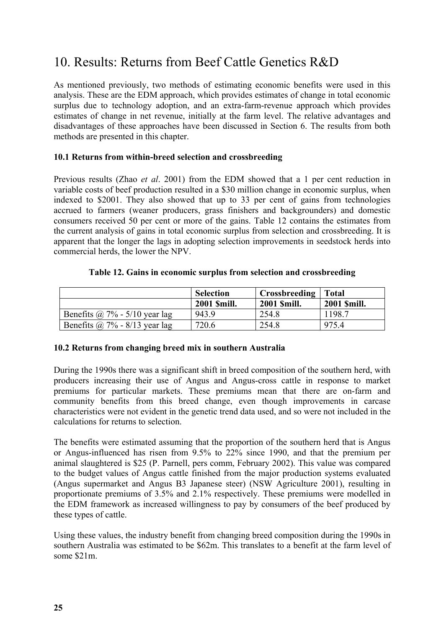## 10. Results: Returns from Beef Cattle Genetics R&D

As mentioned previously, two methods of estimating economic benefits were used in this analysis. These are the EDM approach, which provides estimates of change in total economic surplus due to technology adoption, and an extra-farm-revenue approach which provides estimates of change in net revenue, initially at the farm level. The relative advantages and disadvantages of these approaches have been discussed in Section 6. The results from both methods are presented in this chapter.

#### **10.1 Returns from within-breed selection and crossbreeding**

Previous results (Zhao *et al*. 2001) from the EDM showed that a 1 per cent reduction in variable costs of beef production resulted in a \$30 million change in economic surplus, when indexed to \$2001. They also showed that up to 33 per cent of gains from technologies accrued to farmers (weaner producers, grass finishers and backgrounders) and domestic consumers received 50 per cent or more of the gains. Table 12 contains the estimates from the current analysis of gains in total economic surplus from selection and crossbreeding. It is apparent that the longer the lags in adopting selection improvements in seedstock herds into commercial herds, the lower the NPV.

|  |  | Table 12. Gains in economic surplus from selection and crossbreeding |  |  |  |  |
|--|--|----------------------------------------------------------------------|--|--|--|--|
|--|--|----------------------------------------------------------------------|--|--|--|--|

|                                  | <b>Selection</b>   | Crossbreeding      | Total       |
|----------------------------------|--------------------|--------------------|-------------|
|                                  | <b>2001 Smill.</b> | <b>2001 Smill.</b> | 2001 Smill. |
| Benefits @ $7\%$ - 5/10 year lag | 943.9              | 254.8              | 1198.7      |
| Benefits @ $7\%$ - 8/13 year lag | 720.6              | 254.8              | 975.4       |

#### **10.2 Returns from changing breed mix in southern Australia**

During the 1990s there was a significant shift in breed composition of the southern herd, with producers increasing their use of Angus and Angus-cross cattle in response to market premiums for particular markets. These premiums mean that there are on-farm and community benefits from this breed change, even though improvements in carcase characteristics were not evident in the genetic trend data used, and so were not included in the calculations for returns to selection.

The benefits were estimated assuming that the proportion of the southern herd that is Angus or Angus-influenced has risen from 9.5% to 22% since 1990, and that the premium per animal slaughtered is \$25 (P. Parnell, pers comm, February 2002). This value was compared to the budget values of Angus cattle finished from the major production systems evaluated (Angus supermarket and Angus B3 Japanese steer) (NSW Agriculture 2001), resulting in proportionate premiums of 3.5% and 2.1% respectively. These premiums were modelled in the EDM framework as increased willingness to pay by consumers of the beef produced by these types of cattle.

Using these values, the industry benefit from changing breed composition during the 1990s in southern Australia was estimated to be \$62m. This translates to a benefit at the farm level of some \$21m.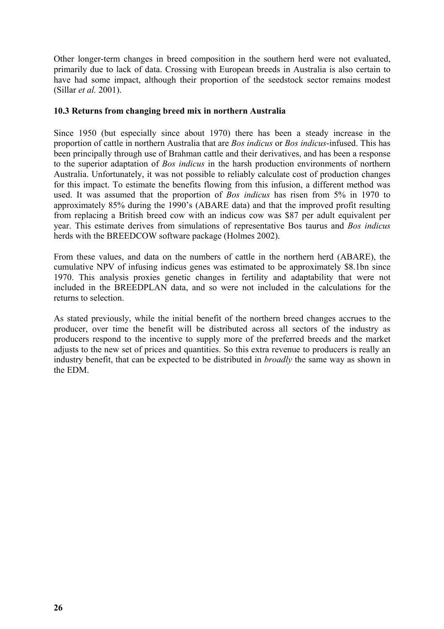Other longer-term changes in breed composition in the southern herd were not evaluated, primarily due to lack of data. Crossing with European breeds in Australia is also certain to have had some impact, although their proportion of the seedstock sector remains modest (Sillar *et al.* 2001).

#### **10.3 Returns from changing breed mix in northern Australia**

Since 1950 (but especially since about 1970) there has been a steady increase in the proportion of cattle in northern Australia that are *Bos indicus* or *Bos indicus*-infused. This has been principally through use of Brahman cattle and their derivatives, and has been a response to the superior adaptation of *Bos indicus* in the harsh production environments of northern Australia. Unfortunately, it was not possible to reliably calculate cost of production changes for this impact. To estimate the benefits flowing from this infusion, a different method was used. It was assumed that the proportion of *Bos indicus* has risen from 5% in 1970 to approximately 85% during the 1990's (ABARE data) and that the improved profit resulting from replacing a British breed cow with an indicus cow was \$87 per adult equivalent per year. This estimate derives from simulations of representative Bos taurus and *Bos indicus* herds with the BREEDCOW software package (Holmes 2002).

From these values, and data on the numbers of cattle in the northern herd (ABARE), the cumulative NPV of infusing indicus genes was estimated to be approximately \$8.1bn since 1970. This analysis proxies genetic changes in fertility and adaptability that were not included in the BREEDPLAN data, and so were not included in the calculations for the returns to selection.

As stated previously, while the initial benefit of the northern breed changes accrues to the producer, over time the benefit will be distributed across all sectors of the industry as producers respond to the incentive to supply more of the preferred breeds and the market adjusts to the new set of prices and quantities. So this extra revenue to producers is really an industry benefit, that can be expected to be distributed in *broadly* the same way as shown in the EDM.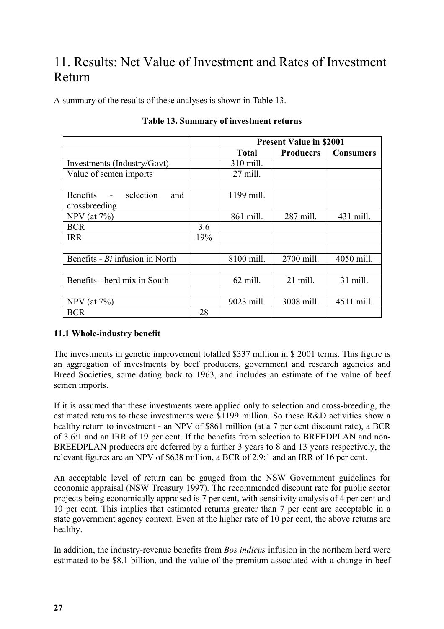# 11. Results: Net Value of Investment and Rates of Investment Return

A summary of the results of these analyses is shown in Table 13.

|                                 |     | <b>Present Value in \$2001</b> |                  |                  |  |
|---------------------------------|-----|--------------------------------|------------------|------------------|--|
|                                 |     | Total                          | <b>Producers</b> | <b>Consumers</b> |  |
| Investments (Industry/Govt)     |     | 310 mill.                      |                  |                  |  |
| Value of semen imports          |     | $27$ mill.                     |                  |                  |  |
|                                 |     |                                |                  |                  |  |
| Benefits - selection<br>and     |     | 1199 mill.                     |                  |                  |  |
| crossbreeding                   |     |                                |                  |                  |  |
| NPV (at $7\%$ )                 |     | 861 mill.                      | 287 mill.        | 431 mill.        |  |
| <b>BCR</b>                      | 3.6 |                                |                  |                  |  |
| <b>IRR</b>                      | 19% |                                |                  |                  |  |
|                                 |     |                                |                  |                  |  |
| Benefits - Bi infusion in North |     | 8100 mill.                     | 2700 mill.       | 4050 mill.       |  |
|                                 |     |                                |                  |                  |  |
| Benefits - herd mix in South    |     | 62 mill.                       | 21 mill.         | 31 mill.         |  |
|                                 |     |                                |                  |                  |  |
| NPV (at $7\%$ )                 |     | 9023 mill.                     | 3008 mill.       | 4511 mill.       |  |
| <b>BCR</b>                      | 28  |                                |                  |                  |  |

|  | Table 13. Summary of investment returns |
|--|-----------------------------------------|
|--|-----------------------------------------|

#### **11.1 Whole-industry benefit**

The investments in genetic improvement totalled \$337 million in \$ 2001 terms. This figure is an aggregation of investments by beef producers, government and research agencies and Breed Societies, some dating back to 1963, and includes an estimate of the value of beef semen imports.

If it is assumed that these investments were applied only to selection and cross-breeding, the estimated returns to these investments were \$1199 million. So these R&D activities show a healthy return to investment - an NPV of \$861 million (at a 7 per cent discount rate), a BCR of 3.6:1 and an IRR of 19 per cent. If the benefits from selection to BREEDPLAN and non-BREEDPLAN producers are deferred by a further 3 years to 8 and 13 years respectively, the relevant figures are an NPV of \$638 million, a BCR of 2.9:1 and an IRR of 16 per cent.

An acceptable level of return can be gauged from the NSW Government guidelines for economic appraisal (NSW Treasury 1997). The recommended discount rate for public sector projects being economically appraised is 7 per cent, with sensitivity analysis of 4 per cent and 10 per cent. This implies that estimated returns greater than 7 per cent are acceptable in a state government agency context. Even at the higher rate of 10 per cent, the above returns are healthy.

In addition, the industry-revenue benefits from *Bos indicus* infusion in the northern herd were estimated to be \$8.1 billion, and the value of the premium associated with a change in beef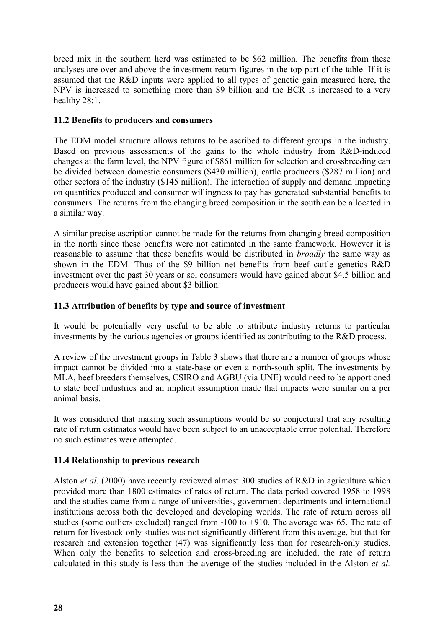breed mix in the southern herd was estimated to be \$62 million. The benefits from these analyses are over and above the investment return figures in the top part of the table. If it is assumed that the R&D inputs were applied to all types of genetic gain measured here, the NPV is increased to something more than \$9 billion and the BCR is increased to a very healthy 28:1.

#### **11.2 Benefits to producers and consumers**

The EDM model structure allows returns to be ascribed to different groups in the industry. Based on previous assessments of the gains to the whole industry from R&D-induced changes at the farm level, the NPV figure of \$861 million for selection and crossbreeding can be divided between domestic consumers (\$430 million), cattle producers (\$287 million) and other sectors of the industry (\$145 million). The interaction of supply and demand impacting on quantities produced and consumer willingness to pay has generated substantial benefits to consumers. The returns from the changing breed composition in the south can be allocated in a similar way.

A similar precise ascription cannot be made for the returns from changing breed composition in the north since these benefits were not estimated in the same framework. However it is reasonable to assume that these benefits would be distributed in *broadly* the same way as shown in the EDM. Thus of the \$9 billion net benefits from beef cattle genetics R&D investment over the past 30 years or so, consumers would have gained about \$4.5 billion and producers would have gained about \$3 billion.

#### **11.3 Attribution of benefits by type and source of investment**

It would be potentially very useful to be able to attribute industry returns to particular investments by the various agencies or groups identified as contributing to the R&D process.

A review of the investment groups in Table 3 shows that there are a number of groups whose impact cannot be divided into a state-base or even a north-south split. The investments by MLA, beef breeders themselves, CSIRO and AGBU (via UNE) would need to be apportioned to state beef industries and an implicit assumption made that impacts were similar on a per animal basis.

It was considered that making such assumptions would be so conjectural that any resulting rate of return estimates would have been subject to an unacceptable error potential. Therefore no such estimates were attempted.

#### **11.4 Relationship to previous research**

Alston *et al*. (2000) have recently reviewed almost 300 studies of R&D in agriculture which provided more than 1800 estimates of rates of return. The data period covered 1958 to 1998 and the studies came from a range of universities, government departments and international institutions across both the developed and developing worlds. The rate of return across all studies (some outliers excluded) ranged from -100 to +910. The average was 65. The rate of return for livestock-only studies was not significantly different from this average, but that for research and extension together (47) was significantly less than for research-only studies. When only the benefits to selection and cross-breeding are included, the rate of return calculated in this study is less than the average of the studies included in the Alston *et al.*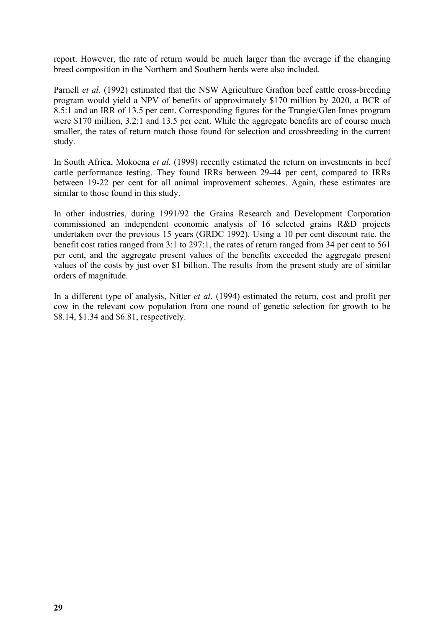report. However, the rate of return would be much larger than the average if the changing breed composition in the Northern and Southern herds were also included.

Parnell *et al.* (1992) estimated that the NSW Agriculture Grafton beef cattle cross-breeding program would yield a NPV of benefits of approximately \$170 million by 2020, a BCR of 8.5:1 and an IRR of 13.5 per cent. Corresponding figures for the Trangie/Glen Innes program were \$170 million, 3.2:1 and 13.5 per cent. While the aggregate benefits are of course much smaller, the rates of return match those found for selection and crossbreeding in the current study.

In South Africa, Mokoena *et al.* (1999) recently estimated the return on investments in beef cattle performance testing. They found IRRs between 29-44 per cent, compared to IRRs between 19-22 per cent for all animal improvement schemes. Again, these estimates are similar to those found in this study.

In other industries, during 1991/92 the Grains Research and Development Corporation commissioned an independent economic analysis of 16 selected grains R&D projects undertaken over the previous 15 years (GRDC 1992). Using a 10 per cent discount rate, the benefit cost ratios ranged from 3:1 to 297:1, the rates of return ranged from 34 per cent to 561 per cent, and the aggregate present values of the benefits exceeded the aggregate present values of the costs by just over \$1 billion. The results from the present study are of similar orders of magnitude.

In a different type of analysis, Nitter *et al*. (1994) estimated the return, cost and profit per cow in the relevant cow population from one round of genetic selection for growth to be \$8.14, \$1.34 and \$6.81, respectively.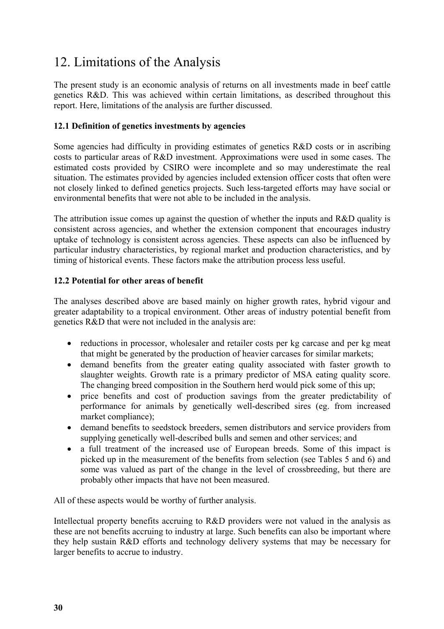# 12. Limitations of the Analysis

The present study is an economic analysis of returns on all investments made in beef cattle genetics R&D. This was achieved within certain limitations, as described throughout this report. Here, limitations of the analysis are further discussed.

#### **12.1 Definition of genetics investments by agencies**

Some agencies had difficulty in providing estimates of genetics R&D costs or in ascribing costs to particular areas of R&D investment. Approximations were used in some cases. The estimated costs provided by CSIRO were incomplete and so may underestimate the real situation. The estimates provided by agencies included extension officer costs that often were not closely linked to defined genetics projects. Such less-targeted efforts may have social or environmental benefits that were not able to be included in the analysis.

The attribution issue comes up against the question of whether the inputs and R&D quality is consistent across agencies, and whether the extension component that encourages industry uptake of technology is consistent across agencies. These aspects can also be influenced by particular industry characteristics, by regional market and production characteristics, and by timing of historical events. These factors make the attribution process less useful.

#### **12.2 Potential for other areas of benefit**

The analyses described above are based mainly on higher growth rates, hybrid vigour and greater adaptability to a tropical environment. Other areas of industry potential benefit from genetics R&D that were not included in the analysis are:

- reductions in processor, wholesaler and retailer costs per kg carcase and per kg meat that might be generated by the production of heavier carcases for similar markets;
- demand benefits from the greater eating quality associated with faster growth to slaughter weights. Growth rate is a primary predictor of MSA eating quality score. The changing breed composition in the Southern herd would pick some of this up;
- price benefits and cost of production savings from the greater predictability of performance for animals by genetically well-described sires (eg. from increased market compliance);
- demand benefits to seedstock breeders, semen distributors and service providers from supplying genetically well-described bulls and semen and other services; and
- a full treatment of the increased use of European breeds. Some of this impact is picked up in the measurement of the benefits from selection (see Tables 5 and 6) and some was valued as part of the change in the level of crossbreeding, but there are probably other impacts that have not been measured.

All of these aspects would be worthy of further analysis.

Intellectual property benefits accruing to R&D providers were not valued in the analysis as these are not benefits accruing to industry at large. Such benefits can also be important where they help sustain R&D efforts and technology delivery systems that may be necessary for larger benefits to accrue to industry.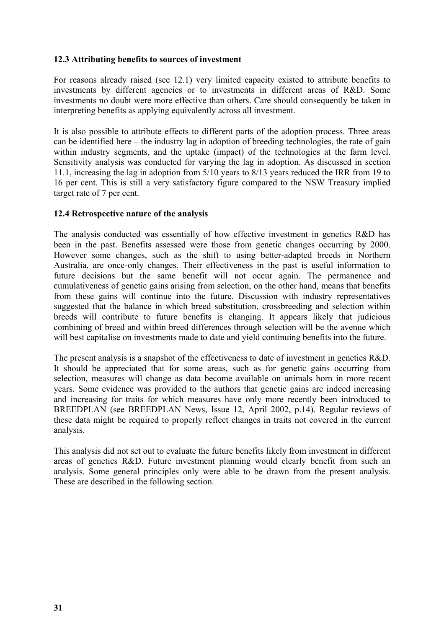#### **12.3 Attributing benefits to sources of investment**

For reasons already raised (see 12.1) very limited capacity existed to attribute benefits to investments by different agencies or to investments in different areas of R&D. Some investments no doubt were more effective than others. Care should consequently be taken in interpreting benefits as applying equivalently across all investment.

It is also possible to attribute effects to different parts of the adoption process. Three areas can be identified here – the industry lag in adoption of breeding technologies, the rate of gain within industry segments, and the uptake (impact) of the technologies at the farm level. Sensitivity analysis was conducted for varying the lag in adoption. As discussed in section 11.1, increasing the lag in adoption from 5/10 years to 8/13 years reduced the IRR from 19 to 16 per cent. This is still a very satisfactory figure compared to the NSW Treasury implied target rate of 7 per cent.

#### **12.4 Retrospective nature of the analysis**

The analysis conducted was essentially of how effective investment in genetics R&D has been in the past. Benefits assessed were those from genetic changes occurring by 2000. However some changes, such as the shift to using better-adapted breeds in Northern Australia, are once-only changes. Their effectiveness in the past is useful information to future decisions but the same benefit will not occur again. The permanence and cumulativeness of genetic gains arising from selection, on the other hand, means that benefits from these gains will continue into the future. Discussion with industry representatives suggested that the balance in which breed substitution, crossbreeding and selection within breeds will contribute to future benefits is changing. It appears likely that judicious combining of breed and within breed differences through selection will be the avenue which will best capitalise on investments made to date and yield continuing benefits into the future.

The present analysis is a snapshot of the effectiveness to date of investment in genetics R&D. It should be appreciated that for some areas, such as for genetic gains occurring from selection, measures will change as data become available on animals born in more recent years. Some evidence was provided to the authors that genetic gains are indeed increasing and increasing for traits for which measures have only more recently been introduced to BREEDPLAN (see BREEDPLAN News, Issue 12, April 2002, p.14). Regular reviews of these data might be required to properly reflect changes in traits not covered in the current analysis.

This analysis did not set out to evaluate the future benefits likely from investment in different areas of genetics R&D. Future investment planning would clearly benefit from such an analysis. Some general principles only were able to be drawn from the present analysis. These are described in the following section.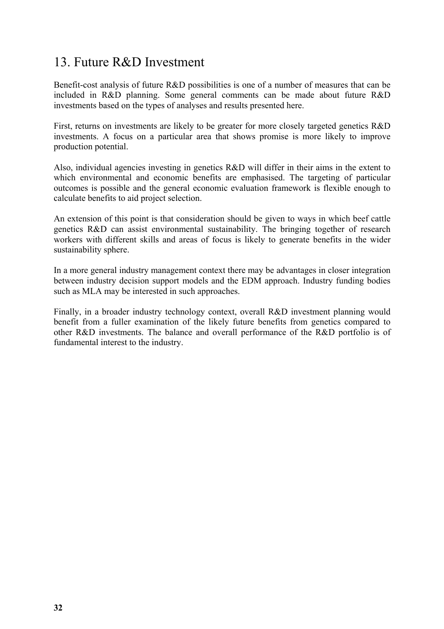### 13. Future R&D Investment

Benefit-cost analysis of future R&D possibilities is one of a number of measures that can be included in R&D planning. Some general comments can be made about future R&D investments based on the types of analyses and results presented here.

First, returns on investments are likely to be greater for more closely targeted genetics R&D investments. A focus on a particular area that shows promise is more likely to improve production potential.

Also, individual agencies investing in genetics R&D will differ in their aims in the extent to which environmental and economic benefits are emphasised. The targeting of particular outcomes is possible and the general economic evaluation framework is flexible enough to calculate benefits to aid project selection.

An extension of this point is that consideration should be given to ways in which beef cattle genetics R&D can assist environmental sustainability. The bringing together of research workers with different skills and areas of focus is likely to generate benefits in the wider sustainability sphere.

In a more general industry management context there may be advantages in closer integration between industry decision support models and the EDM approach. Industry funding bodies such as MLA may be interested in such approaches.

Finally, in a broader industry technology context, overall R&D investment planning would benefit from a fuller examination of the likely future benefits from genetics compared to other R&D investments. The balance and overall performance of the R&D portfolio is of fundamental interest to the industry.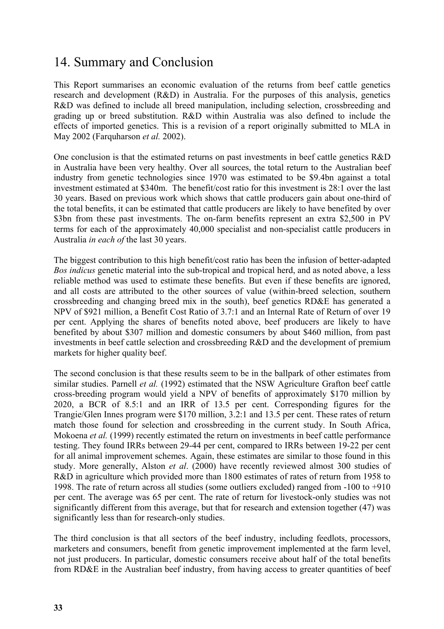### 14. Summary and Conclusion

This Report summarises an economic evaluation of the returns from beef cattle genetics research and development (R&D) in Australia. For the purposes of this analysis, genetics R&D was defined to include all breed manipulation, including selection, crossbreeding and grading up or breed substitution. R&D within Australia was also defined to include the effects of imported genetics. This is a revision of a report originally submitted to MLA in May 2002 (Farquharson *et al.* 2002).

One conclusion is that the estimated returns on past investments in beef cattle genetics R&D in Australia have been very healthy. Over all sources, the total return to the Australian beef industry from genetic technologies since 1970 was estimated to be \$9.4bn against a total investment estimated at \$340m. The benefit/cost ratio for this investment is 28:1 over the last 30 years. Based on previous work which shows that cattle producers gain about one-third of the total benefits, it can be estimated that cattle producers are likely to have benefited by over \$3bn from these past investments. The on-farm benefits represent an extra \$2,500 in PV terms for each of the approximately 40,000 specialist and non-specialist cattle producers in Australia *in each of* the last 30 years.

The biggest contribution to this high benefit/cost ratio has been the infusion of better-adapted *Bos indicus* genetic material into the sub-tropical and tropical herd, and as noted above, a less reliable method was used to estimate these benefits. But even if these benefits are ignored, and all costs are attributed to the other sources of value (within-breed selection, southern crossbreeding and changing breed mix in the south), beef genetics RD&E has generated a NPV of \$921 million, a Benefit Cost Ratio of 3.7:1 and an Internal Rate of Return of over 19 per cent. Applying the shares of benefits noted above, beef producers are likely to have benefited by about \$307 million and domestic consumers by about \$460 million, from past investments in beef cattle selection and crossbreeding R&D and the development of premium markets for higher quality beef.

The second conclusion is that these results seem to be in the ballpark of other estimates from similar studies. Parnell *et al.* (1992) estimated that the NSW Agriculture Grafton beef cattle cross-breeding program would yield a NPV of benefits of approximately \$170 million by 2020, a BCR of 8.5:1 and an IRR of 13.5 per cent. Corresponding figures for the Trangie/Glen Innes program were \$170 million, 3.2:1 and 13.5 per cent. These rates of return match those found for selection and crossbreeding in the current study. In South Africa, Mokoena *et al.* (1999) recently estimated the return on investments in beef cattle performance testing. They found IRRs between 29-44 per cent, compared to IRRs between 19-22 per cent for all animal improvement schemes. Again, these estimates are similar to those found in this study. More generally, Alston *et al*. (2000) have recently reviewed almost 300 studies of R&D in agriculture which provided more than 1800 estimates of rates of return from 1958 to 1998. The rate of return across all studies (some outliers excluded) ranged from -100 to +910 per cent. The average was 65 per cent. The rate of return for livestock-only studies was not significantly different from this average, but that for research and extension together (47) was significantly less than for research-only studies.

The third conclusion is that all sectors of the beef industry, including feedlots, processors, marketers and consumers, benefit from genetic improvement implemented at the farm level, not just producers. In particular, domestic consumers receive about half of the total benefits from RD&E in the Australian beef industry, from having access to greater quantities of beef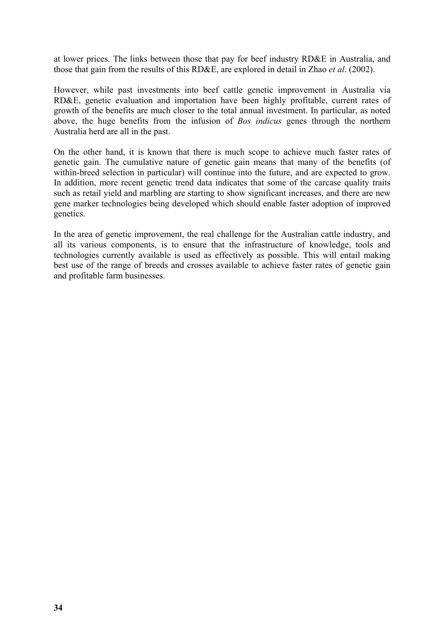at lower prices. The links between those that pay for beef industry RD&E in Australia, and those that gain from the results of this RD&E, are explored in detail in Zhao *et al*. (2002).

However, while past investments into beef cattle genetic improvement in Australia via RD&E, genetic evaluation and importation have been highly profitable, current rates of growth of the benefits are much closer to the total annual investment. In particular, as noted above, the huge benefits from the infusion of *Bos indicus* genes through the northern Australia herd are all in the past.

On the other hand, it is known that there is much scope to achieve much faster rates of genetic gain. The cumulative nature of genetic gain means that many of the benefits (of within-breed selection in particular) will continue into the future, and are expected to grow. In addition, more recent genetic trend data indicates that some of the carcase quality traits such as retail yield and marbling are starting to show significant increases, and there are new gene marker technologies being developed which should enable faster adoption of improved genetics.

In the area of genetic improvement, the real challenge for the Australian cattle industry, and all its various components, is to ensure that the infrastructure of knowledge, tools and technologies currently available is used as effectively as possible. This will entail making best use of the range of breeds and crosses available to achieve faster rates of genetic gain and profitable farm businesses.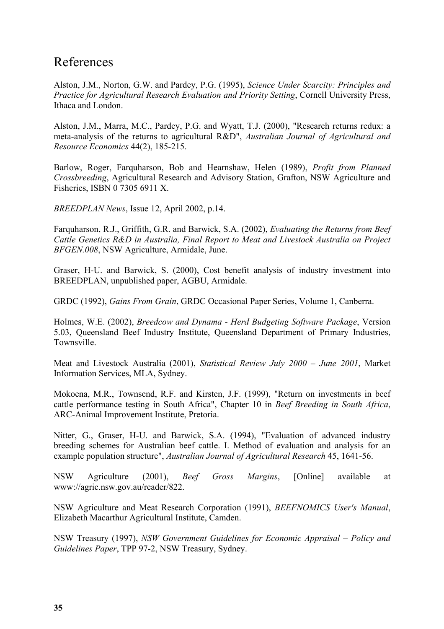### References

Alston, J.M., Norton, G.W. and Pardey, P.G. (1995), *Science Under Scarcity: Principles and Practice for Agricultural Research Evaluation and Priority Setting*, Cornell University Press, Ithaca and London.

Alston, J.M., Marra, M.C., Pardey, P.G. and Wyatt, T.J. (2000), "Research returns redux: a meta-analysis of the returns to agricultural R&D", *Australian Journal of Agricultural and Resource Economics* 44(2), 185-215.

Barlow, Roger, Farquharson, Bob and Hearnshaw, Helen (1989), *Profit from Planned Crossbreeding*, Agricultural Research and Advisory Station, Grafton, NSW Agriculture and Fisheries, ISBN 0 7305 6911 X.

*BREEDPLAN News*, Issue 12, April 2002, p.14.

Farquharson, R.J., Griffith, G.R. and Barwick, S.A. (2002), *Evaluating the Returns from Beef Cattle Genetics R&D in Australia, Final Report to Meat and Livestock Australia on Project BFGEN.008*, NSW Agriculture, Armidale, June.

Graser, H-U. and Barwick, S. (2000), Cost benefit analysis of industry investment into BREEDPLAN, unpublished paper, AGBU, Armidale.

GRDC (1992), *Gains From Grain*, GRDC Occasional Paper Series, Volume 1, Canberra.

Holmes, W.E. (2002), *Breedcow and Dynama - Herd Budgeting Software Package*, Version 5.03, Queensland Beef Industry Institute, Queensland Department of Primary Industries, Townsville.

Meat and Livestock Australia (2001), *Statistical Review July 2000 – June 2001*, Market Information Services, MLA, Sydney.

Mokoena, M.R., Townsend, R.F. and Kirsten, J.F. (1999), "Return on investments in beef cattle performance testing in South Africa", Chapter 10 in *Beef Breeding in South Africa*, ARC-Animal Improvement Institute, Pretoria.

Nitter, G., Graser, H-U. and Barwick, S.A. (1994), "Evaluation of advanced industry breeding schemes for Australian beef cattle. I. Method of evaluation and analysis for an example population structure", *Australian Journal of Agricultural Research* 45, 1641-56.

NSW Agriculture (2001), *Beef Gross Margins*, [Online] available at www://agric.nsw.gov.au/reader/822.

NSW Agriculture and Meat Research Corporation (1991), *BEEFNOMICS User's Manual*, Elizabeth Macarthur Agricultural Institute, Camden.

NSW Treasury (1997), *NSW Government Guidelines for Economic Appraisal – Policy and Guidelines Paper*, TPP 97-2, NSW Treasury, Sydney.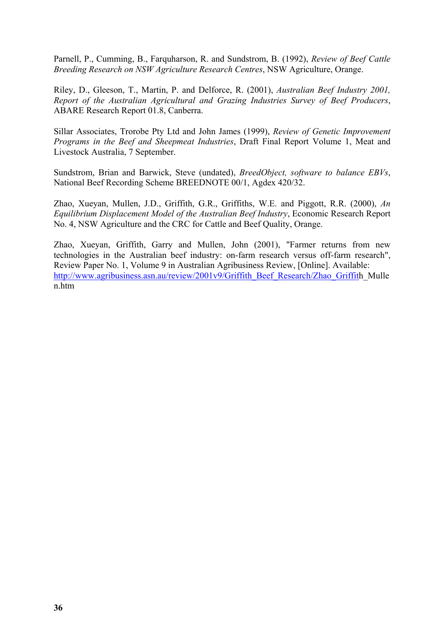Parnell, P., Cumming, B., Farquharson, R. and Sundstrom, B. (1992), *Review of Beef Cattle Breeding Research on NSW Agriculture Research Centres*, NSW Agriculture, Orange.

Riley, D., Gleeson, T., Martin, P. and Delforce, R. (2001), *Australian Beef Industry 2001, Report of the Australian Agricultural and Grazing Industries Survey of Beef Producers*, ABARE Research Report 01.8, Canberra.

Sillar Associates, Trorobe Pty Ltd and John James (1999), *Review of Genetic Improvement Programs in the Beef and Sheepmeat Industries*, Draft Final Report Volume 1, Meat and Livestock Australia, 7 September.

Sundstrom, Brian and Barwick, Steve (undated), *BreedObject, software to balance EBVs*, National Beef Recording Scheme BREEDNOTE 00/1, Agdex 420/32.

Zhao, Xueyan, Mullen, J.D., Griffith, G.R., Griffiths, W.E. and Piggott, R.R. (2000), *An Equilibrium Displacement Model of the Australian Beef Industry*, Economic Research Report No. 4, NSW Agriculture and the CRC for Cattle and Beef Quality, Orange.

Zhao, Xueyan, Griffith, Garry and Mullen, John (2001), "Farmer returns from new technologies in the Australian beef industry: on-farm research versus off-farm research", Review Paper No. 1, Volume 9 in Australian Agribusiness Review, [Online]. Available: http://www.agribusiness.asn.au/review/2001v9/Griffith\_Beef\_Research/Zhao\_Griffith\_Mulle n.htm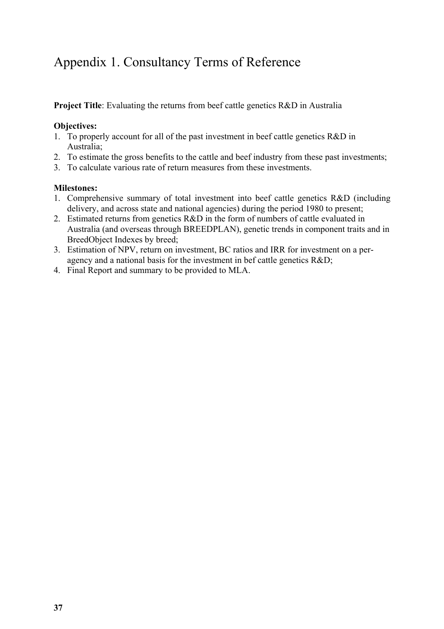# Appendix 1. Consultancy Terms of Reference

**Project Title**: Evaluating the returns from beef cattle genetics R&D in Australia

#### **Objectives:**

- 1. To properly account for all of the past investment in beef cattle genetics R&D in Australia;
- 2. To estimate the gross benefits to the cattle and beef industry from these past investments;
- 3. To calculate various rate of return measures from these investments.

#### **Milestones:**

- 1. Comprehensive summary of total investment into beef cattle genetics R&D (including delivery, and across state and national agencies) during the period 1980 to present;
- 2. Estimated returns from genetics R&D in the form of numbers of cattle evaluated in Australia (and overseas through BREEDPLAN), genetic trends in component traits and in BreedObject Indexes by breed;
- 3. Estimation of NPV, return on investment, BC ratios and IRR for investment on a peragency and a national basis for the investment in bef cattle genetics R&D;
- 4. Final Report and summary to be provided to MLA.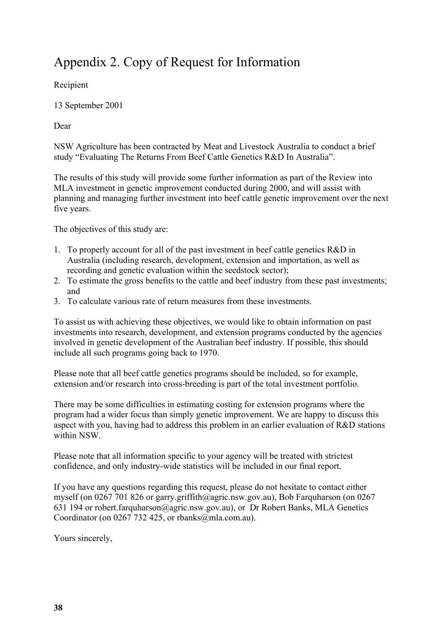# Appendix 2. Copy of Request for Information

Recipient

13 September 2001

Dear

NSW Agriculture has been contracted by Meat and Livestock Australia to conduct a brief study "Evaluating The Returns From Beef Cattle Genetics R&D In Australia".

The results of this study will provide some further information as part of the Review into MLA investment in genetic improvement conducted during 2000, and will assist with planning and managing further investment into beef cattle genetic improvement over the next five years.

The objectives of this study are:

- 1. To properly account for all of the past investment in beef cattle genetics R&D in Australia (including research, development, extension and importation, as well as recording and genetic evaluation within the seedstock sector);
- 2. To estimate the gross benefits to the cattle and beef industry from these past investments; and
- 3. To calculate various rate of return measures from these investments.

To assist us with achieving these objectives, we would like to obtain information on past investments into research, development, and extension programs conducted by the agencies involved in genetic development of the Australian beef industry. If possible, this should include all such programs going back to 1970.

Please note that all beef cattle genetics programs should be included, so for example, extension and/or research into cross-breeding is part of the total investment portfolio.

There may be some difficulties in estimating costing for extension programs where the program had a wider focus than simply genetic improvement. We are happy to discuss this aspect with you, having had to address this problem in an earlier evaluation of R&D stations within NSW.

Please note that all information specific to your agency will be treated with strictest confidence, and only industry-wide statistics will be included in our final report.

If you have any questions regarding this request, please do not hesitate to contact either myself (on 0267 701 826 or garry.griffith@agric.nsw.gov.au), Bob Farquharson (on 0267 631 194 or robert.farquharson@agric.nsw.gov.au), or Dr Robert Banks, MLA Genetics Coordinator (on 0267 732 425, or rbanks@mla.com.au).

Yours sincerely,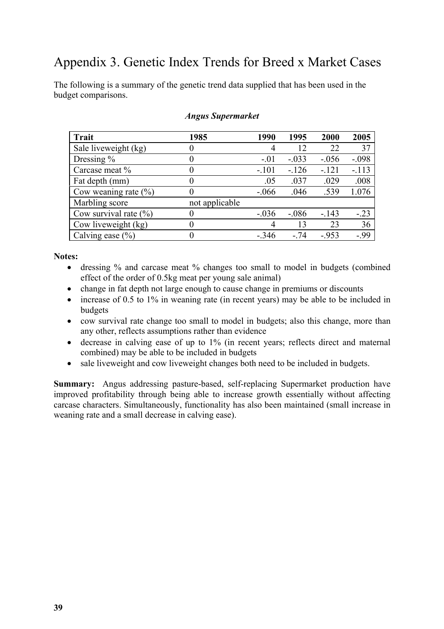### Appendix 3. Genetic Index Trends for Breed x Market Cases

The following is a summary of the genetic trend data supplied that has been used in the budget comparisons.

| <b>Trait</b>              | 1985           | 1990    | 1995    | 2000    | 2005    |
|---------------------------|----------------|---------|---------|---------|---------|
| Sale liveweight (kg)      |                |         | 12      | 22      | 37      |
| Dressing $\%$             |                | $-.01$  | $-.033$ | $-.056$ | $-.098$ |
| Carcase meat %            |                | $-.101$ | $-126$  | $-121$  | $-113$  |
| Fat depth (mm)            |                | .05     | .037    | .029    | .008    |
| Cow weaning rate $(\% )$  |                | $-.066$ | .046    | .539    | 1.076   |
| Marbling score            | not applicable |         |         |         |         |
| Cow survival rate $(\% )$ |                | $-.036$ | $-.086$ | $-143$  | $-.23$  |
| Cow liveweight (kg)       |                | 4       | 13      | 23      | 36      |
| Calving ease $(\% )$      |                | $-.346$ | - 74    | $-953$  | $-0.99$ |

#### *Angus Supermarket*

#### **Notes:**

- dressing % and carcase meat % changes too small to model in budgets (combined effect of the order of 0.5kg meat per young sale animal)
- change in fat depth not large enough to cause change in premiums or discounts
- increase of 0.5 to 1% in weaning rate (in recent years) may be able to be included in budgets
- cow survival rate change too small to model in budgets; also this change, more than any other, reflects assumptions rather than evidence
- decrease in calving ease of up to 1% (in recent years; reflects direct and maternal combined) may be able to be included in budgets
- sale liveweight and cow liveweight changes both need to be included in budgets.

**Summary:** Angus addressing pasture-based, self-replacing Supermarket production have improved profitability through being able to increase growth essentially without affecting carcase characters. Simultaneously, functionality has also been maintained (small increase in weaning rate and a small decrease in calving ease).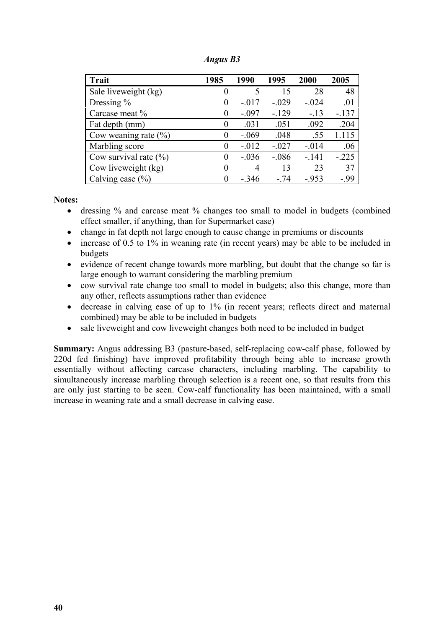| Angus B3 |  |
|----------|--|
|----------|--|

| <b>Trait</b>              | 1985     | 1990     | 1995    | 2000    | 2005    |
|---------------------------|----------|----------|---------|---------|---------|
| Sale liveweight (kg)      | $\theta$ |          | 15      | 28      | 48      |
| Dressing %                | $\theta$ | $-.017$  | $-.029$ | $-.024$ | .01     |
| Carcase meat %            | 0        | $-.097$  | $-129$  | $-.13$  | $-137$  |
| Fat depth (mm)            | $\theta$ | .031     | .051    | .092    | .204    |
| Cow weaning rate $(\%$ )  | $\theta$ | $-.069$  | .048    | .55     | 1.115   |
| Marbling score            | $\theta$ | $-0.012$ | $-.027$ | $-.014$ | .06     |
| Cow survival rate $(\% )$ | $\theta$ | $-.036$  | $-.086$ | $-141$  | $-.225$ |
| Cow liveweight (kg)       | $\theta$ | 4        | 13      | 23      | 37      |
| Calving ease $(\% )$      | $\theta$ | $-.346$  | $-74$   | $-953$  | -.99    |

#### **Notes:**

- dressing % and carcase meat % changes too small to model in budgets (combined effect smaller, if anything, than for Supermarket case)
- change in fat depth not large enough to cause change in premiums or discounts
- increase of 0.5 to 1% in weaning rate (in recent years) may be able to be included in budgets
- evidence of recent change towards more marbling, but doubt that the change so far is large enough to warrant considering the marbling premium
- cow survival rate change too small to model in budgets; also this change, more than any other, reflects assumptions rather than evidence
- decrease in calving ease of up to 1% (in recent years; reflects direct and maternal combined) may be able to be included in budgets
- sale liveweight and cow liveweight changes both need to be included in budget

**Summary:** Angus addressing B3 (pasture-based, self-replacing cow-calf phase, followed by 220d fed finishing) have improved profitability through being able to increase growth essentially without affecting carcase characters, including marbling. The capability to simultaneously increase marbling through selection is a recent one, so that results from this are only just starting to be seen. Cow-calf functionality has been maintained, with a small increase in weaning rate and a small decrease in calving ease.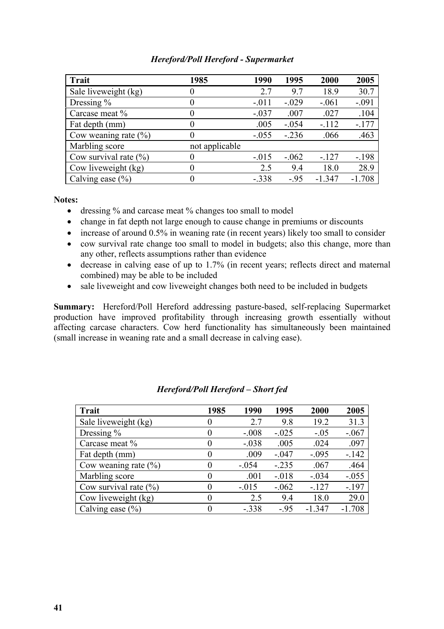| <b>Hereford/Poll Hereford - Supermarket</b> |  |  |
|---------------------------------------------|--|--|
|---------------------------------------------|--|--|

| Trait                     | 1985           | 1990    | 1995    | 2000     | 2005     |
|---------------------------|----------------|---------|---------|----------|----------|
| Sale liveweight (kg)      | O              | 2.7     | 9.7     | 18.9     | 30.7     |
| Dressing $\%$             | $\theta$       | $-.011$ | $-.029$ | $-.061$  | $-.091$  |
| Carcase meat %            | 0              | $-.037$ | .007    | .027     | .104     |
| Fat depth (mm)            | $\theta$       | .005    | $-.054$ | $-.112$  | $-177$   |
| Cow weaning rate $(\%$ )  | $\theta$       | $-.055$ | $-.236$ | .066     | .463     |
| Marbling score            | not applicable |         |         |          |          |
| Cow survival rate $(\% )$ |                | $-.015$ | $-.062$ | $-.127$  | $-.198$  |
| Cow liveweight (kg)       | $\theta$       | 2.5     | 9.4     | 18.0     | 28.9     |
| Calving ease $(\% )$      | $\theta$       | $-.338$ | $-95$   | $-1.347$ | $-1.708$ |

**Notes:**

- dressing % and carcase meat % changes too small to model
- change in fat depth not large enough to cause change in premiums or discounts
- increase of around 0.5% in weaning rate (in recent years) likely too small to consider
- cow survival rate change too small to model in budgets; also this change, more than any other, reflects assumptions rather than evidence
- decrease in calving ease of up to 1.7% (in recent years; reflects direct and maternal combined) may be able to be included
- sale liveweight and cow liveweight changes both need to be included in budgets

**Summary:** Hereford/Poll Hereford addressing pasture-based, self-replacing Supermarket production have improved profitability through increasing growth essentially without affecting carcase characters. Cow herd functionality has simultaneously been maintained (small increase in weaning rate and a small decrease in calving ease).

| <b>Trait</b>              | 1985     | 1990    | 1995    | 2000     | 2005     |
|---------------------------|----------|---------|---------|----------|----------|
| Sale liveweight (kg)      | 0        | 2.7     | 9.8     | 19.2     | 31.3     |
| Dressing $%$              | $\theta$ | $-.008$ | $-.025$ | $-.05$   | $-.067$  |
| Carcase meat %            | $\theta$ | $-.038$ | .005    | .024     | .097     |
| Fat depth (mm)            | $\theta$ | .009    | $-.047$ | $-.095$  | $-142$   |
| Cow weaning rate $(\%$ )  | $\theta$ | $-.054$ | $-.235$ | .067     | .464     |
| Marbling score            | $\theta$ | .001    | $-.018$ | $-.034$  | $-.055$  |
| Cow survival rate $(\% )$ | $\theta$ | $-.015$ | $-.062$ | $-127$   | $-197$   |
| Cow liveweight (kg)       | 0        | 2.5     | 9.4     | 18.0     | 29.0     |
| Calving ease $(\% )$      | $\theta$ | $-.338$ | $-.95$  | $-1.347$ | $-1.708$ |

| Hereford/Poll Hereford – Short fed |  |
|------------------------------------|--|
|                                    |  |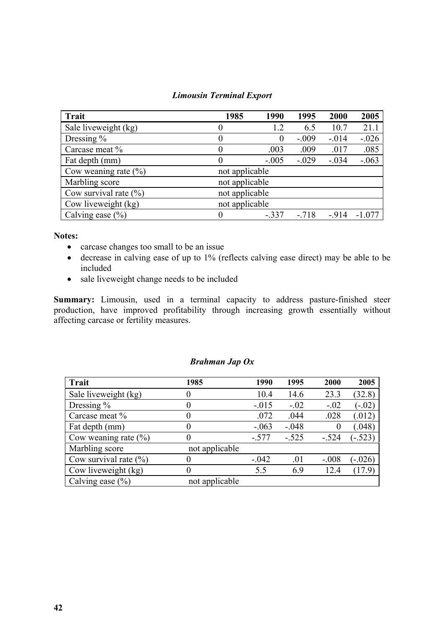| <b>Trait</b>              | 1985           | 1990    | 1995    | 2000    | 2005    |
|---------------------------|----------------|---------|---------|---------|---------|
| Sale liveweight (kg)      | 0              | 1.2     | 6.5     | 10.7    | 21.1    |
| Dressing $\%$             | 0              | O       | $-.009$ | $-.014$ | $-.026$ |
| Carcase meat %            | $\theta$       | .003    | .009    | .017    | .085    |
| Fat depth (mm)            | $\theta$       | $-.005$ | $-.029$ | $-.034$ | $-.063$ |
| Cow weaning rate $(\% )$  | not applicable |         |         |         |         |
| Marbling score            | not applicable |         |         |         |         |
| Cow survival rate $(\% )$ | not applicable |         |         |         |         |
| Cow liveweight (kg)       | not applicable |         |         |         |         |
| Calving ease $(\% )$      |                | $-.337$ | $-.718$ | $-914$  | -1 077  |

#### *Limousin Terminal Export*

#### **Notes:**

- carcase changes too small to be an issue
- decrease in calving ease of up to 1% (reflects calving ease direct) may be able to be included
- sale liveweight change needs to be included

**Summary:** Limousin, used in a terminal capacity to address pasture-finished steer production, have improved profitability through increasing growth essentially without affecting carcase or fertility measures.

#### *Brahman Jap Ox*

| Trait                     | 1985           | 1990    | 1995    | 2000    | 2005      |
|---------------------------|----------------|---------|---------|---------|-----------|
| Sale liveweight (kg)      |                | 10.4    | 14.6    | 23.3    | (32.8)    |
| Dressing $%$              |                | $-.015$ | $-.02$  | $-.02$  | $(-.02)$  |
| Carcase meat %            |                | .072    | .044    | .028    | (.012)    |
| Fat depth (mm)            |                | $-.063$ | $-.048$ |         | (.048)    |
| Cow weaning rate $(\% )$  |                | $-.577$ | $-.525$ | $-.524$ | $(-.523)$ |
| Marbling score            | not applicable |         |         |         |           |
| Cow survival rate $(\% )$ |                | $-.042$ | .01     | $-.008$ | $(-.026)$ |
| Cow liveweight (kg)       |                | 5.5     | 6.9     | 12.4    | (17.9)    |
| Calving ease $(\% )$      | not applicable |         |         |         |           |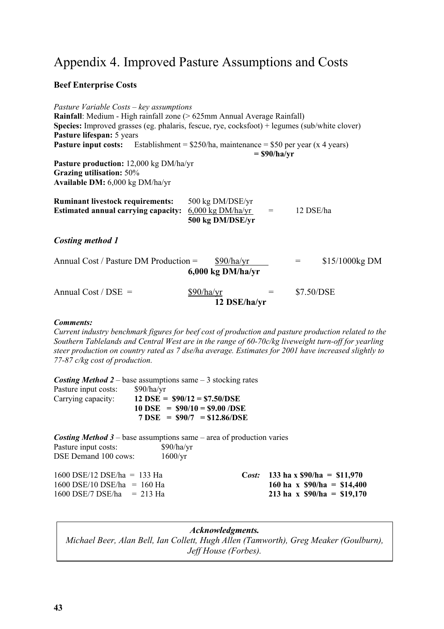### Appendix 4. Improved Pasture Assumptions and Costs

#### **Beef Enterprise Costs**

*Pasture Variable Costs – key assumptions* **Rainfall**: Medium - High rainfall zone (> 625mm Annual Average Rainfall) **Species:** Improved grasses (eg. phalaris, fescue, rye, cocksfoot) + legumes (sub/white clover) **Pasture lifespan:** 5 years **Pasture input costs:** Establishment = \$250/ha, maintenance = \$50 per year (x 4 years)  **= \$90/ha/yr Pasture production:** 12,000 kg DM/ha/yr **Grazing utilisation:** 50% **Available DM:** 6,000 kg DM/ha/yr **Ruminant livestock requirements:** 500 kg DM/DSE/yr **Estimated annual carrying capacity:** 6,000 kg DM/ha/yr = 12 DSE/ha **500 kg DM/DSE/yr** *Costing method 1* Annual Cost / Pasture DM Production =  $$90/ha/yr = $15/1000kg DM$ **6,000 kg DM/ha/yr** Annual Cost / DSE =  $$90/ha/yr = $7.50/DSE$ **12 DSE/ha/yr**

#### *Comments:*

*Current industry benchmark figures for beef cost of production and pasture production related to the Southern Tablelands and Central West are in the range of 60-70c/kg liveweight turn-off for yearling steer production on country rated as 7 dse/ha average. Estimates for 2001 have increased slightly to 77-87 c/kg cost of production.*

*Costing Method 2* – base assumptions same – 3 stocking rates Pasture input costs: \$90/ha/yr Carrying capacity: **12 DSE = \$90/12 = \$7.50/DSE 10 DSE = \$90/10 = \$9.00 /DSE 7 DSE = \$90/7 = \$12.86/DSE**

| <b>Costing Method 3</b> – base assumptions same – area of production varies |                  |                                   |
|-----------------------------------------------------------------------------|------------------|-----------------------------------|
| Pasture input costs:                                                        | \$90/ha/yr       |                                   |
| DSE Demand 100 cows:                                                        | $1600/\text{yr}$ |                                   |
| $1600$ DSE/12 DSE/ha = 133 Ha                                               |                  | Cost: 133 ha x $$90/ha = $11,970$ |
| $1600$ DSE/10 DSE/ha = 160 Ha                                               |                  | 160 ha x $$90/ha = $14,400$       |
| $1600$ DSE/7 DSE/ha = 213 Ha                                                |                  | 213 ha x $$90/ha = $19,170$       |

*Acknowledgments. Michael Beer, Alan Bell, Ian Collett, Hugh Allen (Tamworth), Greg Meaker (Goulburn), Jeff House (Forbes).*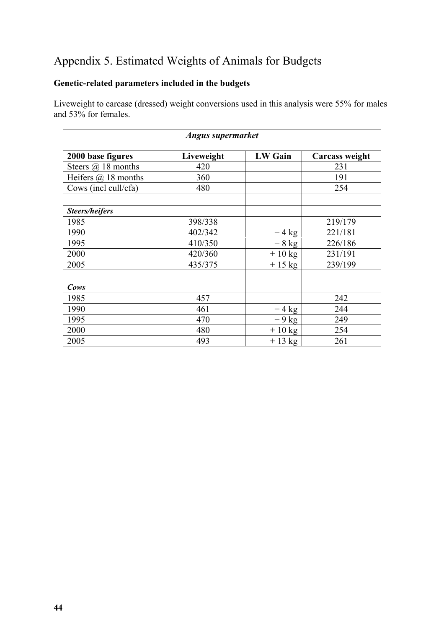### Appendix 5. Estimated Weights of Animals for Budgets

#### **Genetic-related parameters included in the budgets**

Liveweight to carcase (dressed) weight conversions used in this analysis were 55% for males and 53% for females.

| Angus supermarket          |            |                |                |  |
|----------------------------|------------|----------------|----------------|--|
| 2000 base figures          | Liveweight | <b>LW Gain</b> | Carcass weight |  |
| Steers $(a)$ 18 months     | 420        |                | 231            |  |
| Heifers $\omega$ 18 months | 360        |                | 191            |  |
| Cows (incl cull/cfa)       | 480        |                | 254            |  |
|                            |            |                |                |  |
| <b>Steers/heifers</b>      |            |                |                |  |
| 1985                       | 398/338    |                | 219/179        |  |
| 1990                       | 402/342    | $+4$ kg        | 221/181        |  |
| 1995                       | 410/350    | $+8$ kg        | 226/186        |  |
| 2000                       | 420/360    | $+10$ kg       | 231/191        |  |
| 2005                       | 435/375    | $+15$ kg       | 239/199        |  |
|                            |            |                |                |  |
| Cows                       |            |                |                |  |
| 1985                       | 457        |                | 242            |  |
| 1990                       | 461        | $+4$ kg        | 244            |  |
| 1995                       | 470        | $+9$ kg        | 249            |  |
| 2000                       | 480        | $+10$ kg       | 254            |  |
| 2005                       | 493        | $+13$ kg       | 261            |  |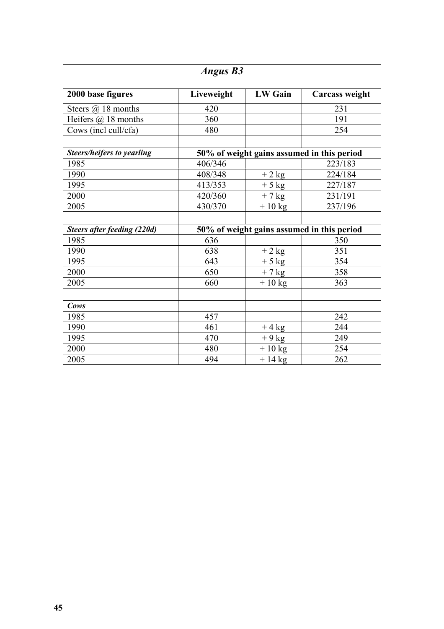| <b>Angus B3</b>                   |            |                                            |                                            |  |  |
|-----------------------------------|------------|--------------------------------------------|--------------------------------------------|--|--|
| 2000 base figures                 | Liveweight | <b>LW</b> Gain                             | Carcass weight                             |  |  |
| Steers $(a)$ 18 months            | 420        |                                            | 231                                        |  |  |
| Heifers $(a)$ 18 months           | 360        |                                            | 191                                        |  |  |
| Cows (incl cull/cfa)              | 480        |                                            | 254                                        |  |  |
|                                   |            |                                            |                                            |  |  |
| <b>Steers/heifers to yearling</b> |            |                                            | 50% of weight gains assumed in this period |  |  |
| 1985                              | 406/346    |                                            | 223/183                                    |  |  |
| 1990                              | 408/348    | $+2$ kg                                    | 224/184                                    |  |  |
| 1995                              | 413/353    | $+5$ kg                                    | 227/187                                    |  |  |
| 2000                              | 420/360    | $+7$ kg                                    | 231/191                                    |  |  |
| 2005                              | 430/370    | $+10$ kg                                   | 237/196                                    |  |  |
|                                   |            |                                            |                                            |  |  |
| Steers after feeding (220d)       |            | 50% of weight gains assumed in this period |                                            |  |  |
| 1985                              | 636        |                                            | 350                                        |  |  |
| 1990                              | 638        | $+2$ kg                                    | 351                                        |  |  |
| 1995                              | 643        | $+5$ kg                                    | 354                                        |  |  |
| 2000                              | 650        | $+7$ kg                                    | 358                                        |  |  |
| 2005                              | 660        | $+10$ kg                                   | 363                                        |  |  |
|                                   |            |                                            |                                            |  |  |
| Cows                              |            |                                            |                                            |  |  |
| 1985                              | 457        |                                            | 242                                        |  |  |
| 1990                              | 461        | $+4$ kg                                    | 244                                        |  |  |
| 1995                              | 470        | $+9$ kg                                    | 249                                        |  |  |
| 2000                              | 480        | $+10$ kg                                   | 254                                        |  |  |
| 2005                              | 494        | $+14$ kg                                   | 262                                        |  |  |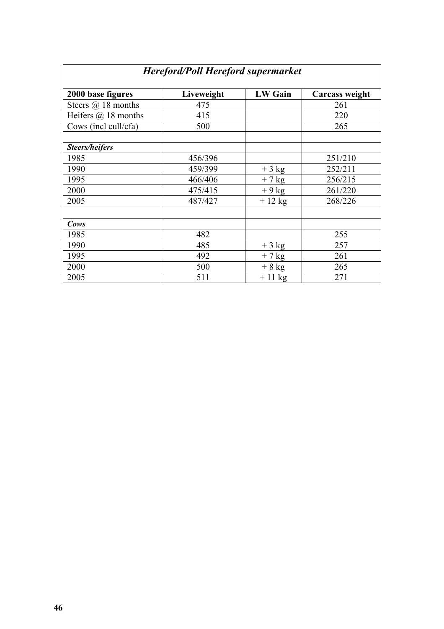| <b>Hereford/Poll Hereford supermarket</b> |            |                |                |  |
|-------------------------------------------|------------|----------------|----------------|--|
| 2000 base figures                         | Liveweight | <b>LW Gain</b> | Carcass weight |  |
| Steers $(a)$ 18 months                    | 475        |                | 261            |  |
| Heifers $\omega$ 18 months                | 415        |                | 220            |  |
| Cows (incl cull/cfa)                      | 500        |                | 265            |  |
|                                           |            |                |                |  |
| <b>Steers/heifers</b>                     |            |                |                |  |
| 1985                                      | 456/396    |                | 251/210        |  |
| 1990                                      | 459/399    | $+3$ kg        | 252/211        |  |
| 1995                                      | 466/406    | $+7$ kg        | 256/215        |  |
| 2000                                      | 475/415    | $+9$ kg        | 261/220        |  |
| 2005                                      | 487/427    | $+12$ kg       | 268/226        |  |
|                                           |            |                |                |  |
| Cows                                      |            |                |                |  |
| 1985                                      | 482        |                | 255            |  |
| 1990                                      | 485        | $+3$ kg        | 257            |  |
| 1995                                      | 492        | $+7$ kg        | 261            |  |
| 2000                                      | 500        | $+8$ kg        | 265            |  |
| 2005                                      | 511        | $+11$ kg       | 271            |  |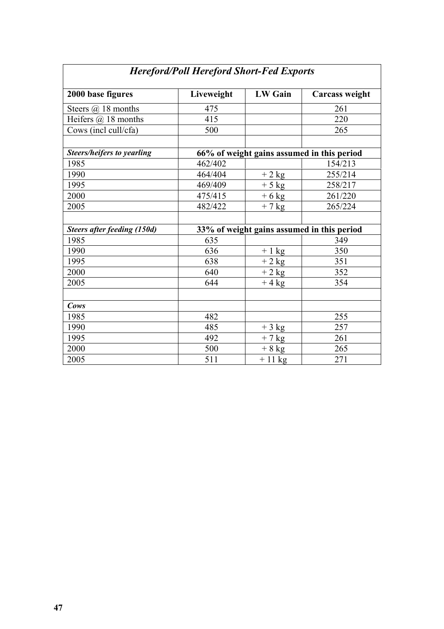| 2000 base figures                  | Liveweight | <b>LW</b> Gain | <b>Carcass weight</b>                      |  |  |
|------------------------------------|------------|----------------|--------------------------------------------|--|--|
| Steers $(a)$ 18 months             | 475        |                | 261                                        |  |  |
| Heifers $(a)$ 18 months            | 415        |                | 220                                        |  |  |
| Cows (incl cull/cfa)               | 500        |                | 265                                        |  |  |
|                                    |            |                |                                            |  |  |
| Steers/heifers to yearling         |            |                | 66% of weight gains assumed in this period |  |  |
| 1985                               | 462/402    |                | 154/213                                    |  |  |
| 1990                               | 464/404    | $+2$ kg        | 255/214                                    |  |  |
| 1995                               | 469/409    | $+5$ kg        | 258/217                                    |  |  |
| 2000                               | 475/415    | $+6$ kg        | 261/220                                    |  |  |
| 2005                               | 482/422    | $+7$ kg        | 265/224                                    |  |  |
|                                    |            |                |                                            |  |  |
| <b>Steers after feeding (150d)</b> |            |                | 33% of weight gains assumed in this period |  |  |
| 1985                               | 635        |                | 349                                        |  |  |
| 1990                               | 636        | $+1$ kg        | 350                                        |  |  |
| 1995                               | 638        | $+2$ kg        | 351                                        |  |  |
| 2000                               | 640        | $+2$ kg        | 352                                        |  |  |
| 2005                               | 644        | $+4$ kg        | 354                                        |  |  |
|                                    |            |                |                                            |  |  |
| Cows                               |            |                |                                            |  |  |
| 1985                               | 482        |                | 255                                        |  |  |
| 1990                               | 485        | $+3$ kg        | 257                                        |  |  |
| 1995                               | 492        | $+7$ kg        | 261                                        |  |  |
| 2000                               | 500        | $+8$ kg        | 265                                        |  |  |
| 2005                               | 511        | $+11$ kg       | 271                                        |  |  |

### *Hereford/Poll Hereford Short-Fed Exports*

 $\overline{\phantom{a}}$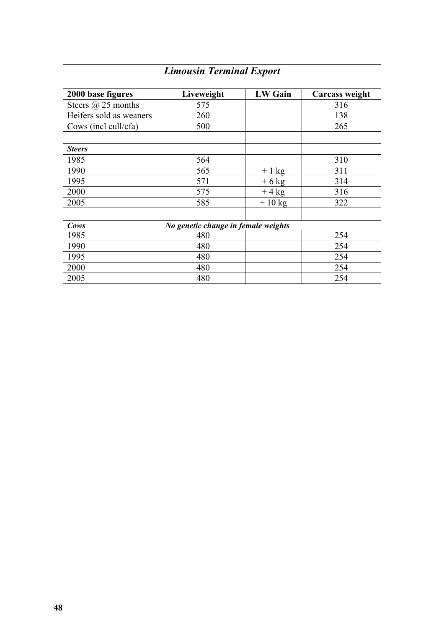| <b>Limousin Terminal Export</b> |                                     |                |                |  |
|---------------------------------|-------------------------------------|----------------|----------------|--|
| 2000 base figures               | Liveweight                          | <b>LW Gain</b> | Carcass weight |  |
| Steers $(a)$ 25 months          | 575                                 |                | 316            |  |
| Heifers sold as weaners         | 260                                 |                | 138            |  |
| Cows (incl cull/cfa)            | 500                                 |                | 265            |  |
|                                 |                                     |                |                |  |
| <b>Steers</b>                   |                                     |                |                |  |
| 1985                            | 564                                 |                | 310            |  |
| 1990                            | 565                                 | $+1$ kg        | 311            |  |
| 1995                            | 571                                 | $+6$ kg        | 314            |  |
| 2000                            | 575                                 | $+4$ kg        | 316            |  |
| 2005                            | 585                                 | $+10$ kg       | 322            |  |
|                                 |                                     |                |                |  |
| Cows                            | No genetic change in female weights |                |                |  |
| 1985                            | 480                                 |                | 254            |  |
| 1990                            | 480                                 |                | 254            |  |
| 1995                            | 480                                 |                | 254            |  |
| 2000                            | 480                                 |                | 254            |  |
| 2005                            | 480                                 |                | 254            |  |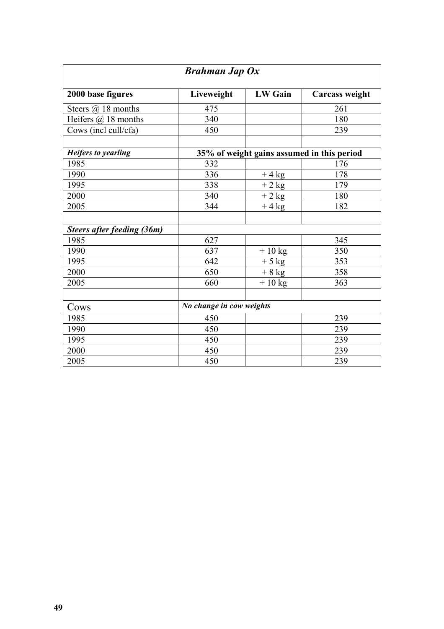| <b>Brahman Jap Ox</b>      |                          |                |                                            |  |
|----------------------------|--------------------------|----------------|--------------------------------------------|--|
| 2000 base figures          | Liveweight               | <b>LW</b> Gain | <b>Carcass weight</b>                      |  |
| Steers $(a)$ 18 months     | 475                      |                | 261                                        |  |
| Heifers $(a)$ 18 months    | 340                      |                | 180                                        |  |
| Cows (incl cull/cfa)       | 450                      |                | 239                                        |  |
|                            |                          |                |                                            |  |
| <b>Heifers to yearling</b> |                          |                | 35% of weight gains assumed in this period |  |
| 1985                       | 332                      |                | 176                                        |  |
| 1990                       | 336                      | $+4$ kg        | 178                                        |  |
| 1995                       | 338                      | $+2$ kg        | 179                                        |  |
| 2000                       | 340                      | $+2$ kg        | 180                                        |  |
| 2005                       | 344                      | $+4$ kg        | 182                                        |  |
|                            |                          |                |                                            |  |
| Steers after feeding (36m) |                          |                |                                            |  |
| 1985                       | 627                      |                | 345                                        |  |
| 1990                       | 637                      | $+10$ kg       | 350                                        |  |
| 1995                       | 642                      | $+5$ kg        | 353                                        |  |
| 2000                       | 650                      | $+8$ kg        | 358                                        |  |
| 2005                       | 660                      | $+10$ kg       | 363                                        |  |
|                            |                          |                |                                            |  |
| Cows                       | No change in cow weights |                |                                            |  |
| 1985                       | 450                      |                | 239                                        |  |
| 1990                       | 450                      |                | 239                                        |  |
| 1995                       | 450                      |                | 239                                        |  |
| 2000                       | 450                      |                | 239                                        |  |
| 2005                       | 450                      |                | 239                                        |  |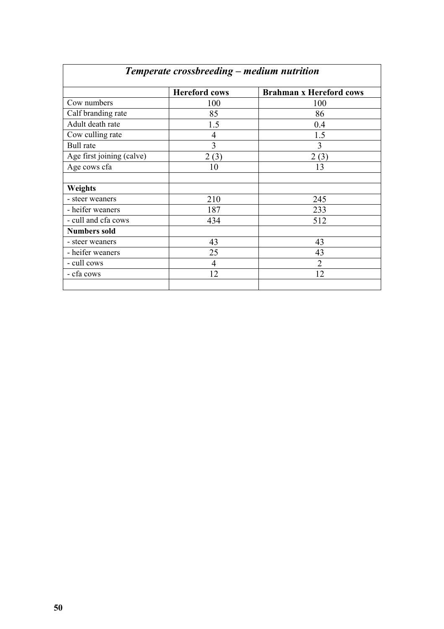|                           | <b>Hereford cows</b> | <b>Brahman x Hereford cows</b> |
|---------------------------|----------------------|--------------------------------|
| Cow numbers               | 100                  | 100                            |
| Calf branding rate        | 85                   | 86                             |
| Adult death rate          | 1.5                  | 0.4                            |
| Cow culling rate          | 4                    | 1.5                            |
| <b>Bull</b> rate          | 3                    | 3                              |
| Age first joining (calve) | 2(3)                 | 2(3)                           |
| Age cows cfa              | 10                   | 13                             |
|                           |                      |                                |
| <b>Weights</b>            |                      |                                |
| - steer weaners           | 210                  | 245                            |
| - heifer weaners          | 187                  | 233                            |
| - cull and cfa cows       | 434                  | 512                            |
| <b>Numbers sold</b>       |                      |                                |
| - steer weaners           | 43                   | 43                             |
| - heifer weaners          | 25                   | 43                             |
| - cull cows               | $\overline{4}$       | $\overline{2}$                 |
| - cfa cows                | 12                   | 12                             |

### *Temperate crossbreeding – medium nutrition*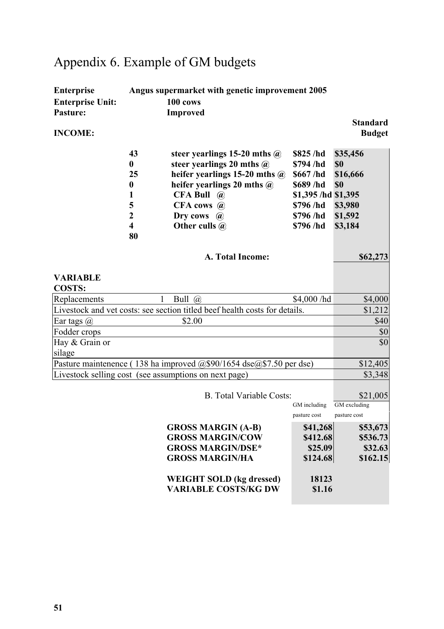# Appendix 6. Example of GM budgets

| <b>Enterprise</b><br>Angus supermarket with genetic improvement 2005                                        |                                                                                                                                                                                                                                                                               |                                                                                                           |                                                                     |  |
|-------------------------------------------------------------------------------------------------------------|-------------------------------------------------------------------------------------------------------------------------------------------------------------------------------------------------------------------------------------------------------------------------------|-----------------------------------------------------------------------------------------------------------|---------------------------------------------------------------------|--|
| <b>Enterprise Unit:</b>                                                                                     | 100 cows                                                                                                                                                                                                                                                                      |                                                                                                           |                                                                     |  |
| <b>Pasture:</b>                                                                                             | <b>Improved</b>                                                                                                                                                                                                                                                               |                                                                                                           |                                                                     |  |
| <b>INCOME:</b>                                                                                              |                                                                                                                                                                                                                                                                               |                                                                                                           | <b>Standard</b><br><b>Budget</b>                                    |  |
| 43<br>$\boldsymbol{0}$<br>25<br>$\boldsymbol{0}$<br>1<br>5<br>$\mathbf{2}$<br>$\overline{\mathbf{4}}$<br>80 | steer yearlings 15-20 mths $\omega$<br>steer yearlings 20 mths $\omega$<br>heifer yearlings 15-20 mths $\omega$<br>heifer yearlings 20 mths $\omega$<br><b>CFA Bull</b><br>$\left(\widehat{\boldsymbol{a}}\right)$<br>CFA cows @<br>Dry cows<br>$\mathbf{a}$<br>Other culls @ | \$825 /hd<br>\$794 /hd<br>\$667/hd<br>\$689/hd<br>\$1,395 /hd \$1,395<br>\$796/hd<br>\$796/hd<br>\$796/hd | \$35,456<br>\$0<br>\$16,666<br>\$0<br>\$3,980<br>\$1,592<br>\$3,184 |  |
|                                                                                                             | A. Total Income:                                                                                                                                                                                                                                                              |                                                                                                           | \$62,273                                                            |  |
| <b>VARIABLE</b><br><b>COSTS:</b>                                                                            |                                                                                                                                                                                                                                                                               |                                                                                                           |                                                                     |  |
| Replacements                                                                                                | Bull $(a)$<br>1                                                                                                                                                                                                                                                               | \$4,000/hd                                                                                                | \$4,000                                                             |  |
|                                                                                                             | Livestock and vet costs: see section titled beef health costs for details.                                                                                                                                                                                                    |                                                                                                           | \$1,212                                                             |  |
| Ear tags $(a)$                                                                                              | \$2.00                                                                                                                                                                                                                                                                        |                                                                                                           | \$40                                                                |  |
| Fodder crops                                                                                                |                                                                                                                                                                                                                                                                               |                                                                                                           | \$0                                                                 |  |
| Hay & Grain or<br>silage                                                                                    | \$0                                                                                                                                                                                                                                                                           |                                                                                                           |                                                                     |  |
|                                                                                                             | Pasture maintenence (138 ha improved @\$90/1654 dse@\$7.50 per dse)                                                                                                                                                                                                           |                                                                                                           | \$12,405                                                            |  |
|                                                                                                             | Livestock selling cost (see assumptions on next page)                                                                                                                                                                                                                         |                                                                                                           | \$3,348                                                             |  |
|                                                                                                             | <b>B.</b> Total Variable Costs:                                                                                                                                                                                                                                               | GM including<br>pasture cost                                                                              | \$21,005<br>GM excluding<br>pasture cost                            |  |
|                                                                                                             | <b>GROSS MARGIN (A-B)</b><br><b>GROSS MARGIN/COW</b><br><b>GROSS MARGIN/DSE*</b><br><b>GROSS MARGIN/HA</b><br><b>WEIGHT SOLD (kg dressed)</b><br><b>VARIABLE COSTS/KG DW</b>                                                                                                  | \$41,268<br>\$412.68<br>\$25.09<br>\$124.68<br>18123<br>\$1.16                                            | \$53,673<br>\$536.73<br>\$32.63<br>\$162.15                         |  |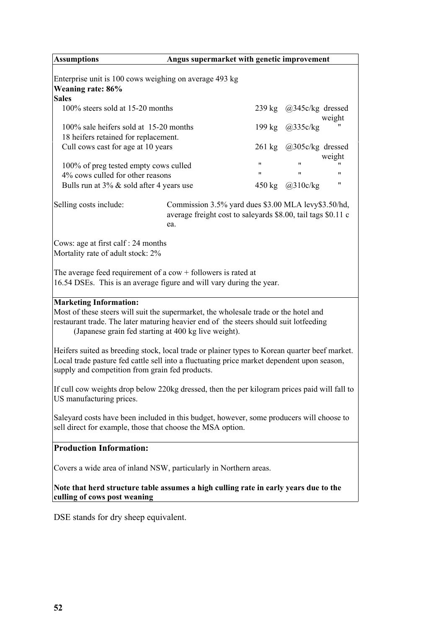| <b>Assumptions</b>                                                                                                                                                                                                                                                     | Angus supermarket with genetic improvement                                                                                 |          |                                 |        |
|------------------------------------------------------------------------------------------------------------------------------------------------------------------------------------------------------------------------------------------------------------------------|----------------------------------------------------------------------------------------------------------------------------|----------|---------------------------------|--------|
| Enterprise unit is 100 cows weighing on average 493 kg<br><b>Weaning rate: 86%</b><br><b>Sales</b>                                                                                                                                                                     |                                                                                                                            |          |                                 |        |
| 100% steers sold at 15-20 months                                                                                                                                                                                                                                       |                                                                                                                            |          | 239 kg $\omega$ 345c/kg dressed |        |
| 100% sale heifers sold at 15-20 months<br>18 heifers retained for replacement.                                                                                                                                                                                         |                                                                                                                            | $199$ kg | (a)335c/kg                      | weight |
| Cull cows cast for age at 10 years                                                                                                                                                                                                                                     |                                                                                                                            |          | 261 kg @305c/kg dressed         | weight |
| 100% of preg tested empty cows culled<br>4% cows culled for other reasons                                                                                                                                                                                              |                                                                                                                            | 11<br>11 | 11<br>11                        | 11     |
| Bulls run at $3\%$ & sold after 4 years use                                                                                                                                                                                                                            |                                                                                                                            |          | 450 kg @310c/kg                 | 11     |
| Selling costs include:                                                                                                                                                                                                                                                 | Commission 3.5% yard dues \$3.00 MLA levy\$3.50/hd,<br>average freight cost to saleyards \$8.00, tail tags \$0.11 c<br>ea. |          |                                 |        |
| Cows: age at first calf : 24 months<br>Mortality rate of adult stock: 2%                                                                                                                                                                                               |                                                                                                                            |          |                                 |        |
| The average feed requirement of a $\text{cow} + \text{followers}$ is rated at<br>16.54 DSEs. This is an average figure and will vary during the year.                                                                                                                  |                                                                                                                            |          |                                 |        |
| <b>Marketing Information:</b><br>Most of these steers will suit the supermarket, the wholesale trade or the hotel and<br>restaurant trade. The later maturing heavier end of the steers should suit lotfeeding<br>(Japanese grain fed starting at 400 kg live weight). |                                                                                                                            |          |                                 |        |
| Heifers suited as breeding stock, local trade or plainer types to Korean quarter beef market.<br>Local trade pasture fed cattle sell into a fluctuating price market dependent upon season,<br>supply and competition from grain fed products.                         |                                                                                                                            |          |                                 |        |
| If cull cow weights drop below 220kg dressed, then the per kilogram prices paid will fall to<br>US manufacturing prices.                                                                                                                                               |                                                                                                                            |          |                                 |        |
| Saleyard costs have been included in this budget, however, some producers will choose to<br>sell direct for example, those that choose the MSA option.                                                                                                                 |                                                                                                                            |          |                                 |        |
| <b>Production Information:</b>                                                                                                                                                                                                                                         |                                                                                                                            |          |                                 |        |
| Covers a wide area of inland NSW, particularly in Northern areas.                                                                                                                                                                                                      |                                                                                                                            |          |                                 |        |
| Note that herd structure table assumes a high culling rate in early years due to the<br>culling of cows post weaning                                                                                                                                                   |                                                                                                                            |          |                                 |        |
| DSE stands for dry sheep equivalent.                                                                                                                                                                                                                                   |                                                                                                                            |          |                                 |        |
|                                                                                                                                                                                                                                                                        |                                                                                                                            |          |                                 |        |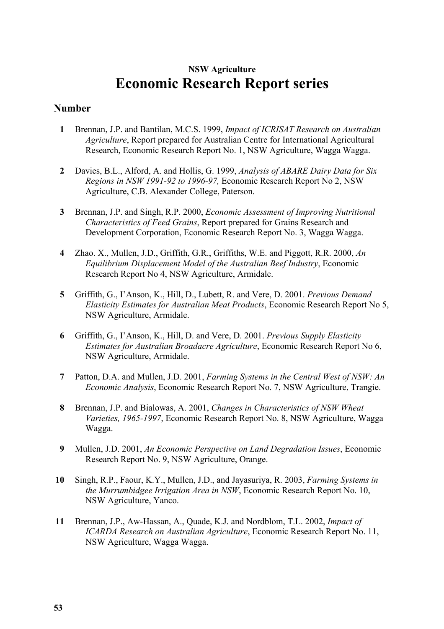### **NSW Agriculture Economic Research Report series**

#### **Number**

- **1** Brennan, J.P. and Bantilan, M.C.S. 1999, *Impact of ICRISAT Research on Australian Agriculture*, Report prepared for Australian Centre for International Agricultural Research, Economic Research Report No. 1, NSW Agriculture, Wagga Wagga.
- **2** Davies, B.L., Alford, A. and Hollis, G. 1999, *Analysis of ABARE Dairy Data for Six Regions in NSW 1991-92 to 1996-97,* Economic Research Report No 2, NSW Agriculture, C.B. Alexander College, Paterson.
- **3** Brennan, J.P. and Singh, R.P. 2000, *Economic Assessment of Improving Nutritional Characteristics of Feed Grains*, Report prepared for Grains Research and Development Corporation, Economic Research Report No. 3, Wagga Wagga.
- **4** Zhao. X., Mullen, J.D., Griffith, G.R., Griffiths, W.E. and Piggott, R.R. 2000, *An Equilibrium Displacement Model of the Australian Beef Industry*, Economic Research Report No 4, NSW Agriculture, Armidale.
- **5** Griffith, G., I'Anson, K., Hill, D., Lubett, R. and Vere, D. 2001. *Previous Demand Elasticity Estimates for Australian Meat Products*, Economic Research Report No 5, NSW Agriculture, Armidale.
- **6** Griffith, G., I'Anson, K., Hill, D. and Vere, D. 2001. *Previous Supply Elasticity Estimates for Australian Broadacre Agriculture*, Economic Research Report No 6, NSW Agriculture, Armidale.
- **7** Patton, D.A. and Mullen, J.D. 2001, *Farming Systems in the Central West of NSW: An Economic Analysis*, Economic Research Report No. 7, NSW Agriculture, Trangie.
- **8** Brennan, J.P. and Bialowas, A. 2001, *Changes in Characteristics of NSW Wheat Varieties, 1965-1997*, Economic Research Report No. 8, NSW Agriculture, Wagga Wagga.
- **9** Mullen, J.D. 2001, *An Economic Perspective on Land Degradation Issues*, Economic Research Report No. 9, NSW Agriculture, Orange.
- **10** Singh, R.P., Faour, K.Y., Mullen, J.D., and Jayasuriya, R. 2003, *Farming Systems in the Murrumbidgee Irrigation Area in NSW*, Economic Research Report No. 10, NSW Agriculture, Yanco.
- **11** Brennan, J.P., Aw-Hassan, A., Quade, K.J. and Nordblom, T.L. 2002, *Impact of ICARDA Research on Australian Agriculture*, Economic Research Report No. 11, NSW Agriculture, Wagga Wagga.